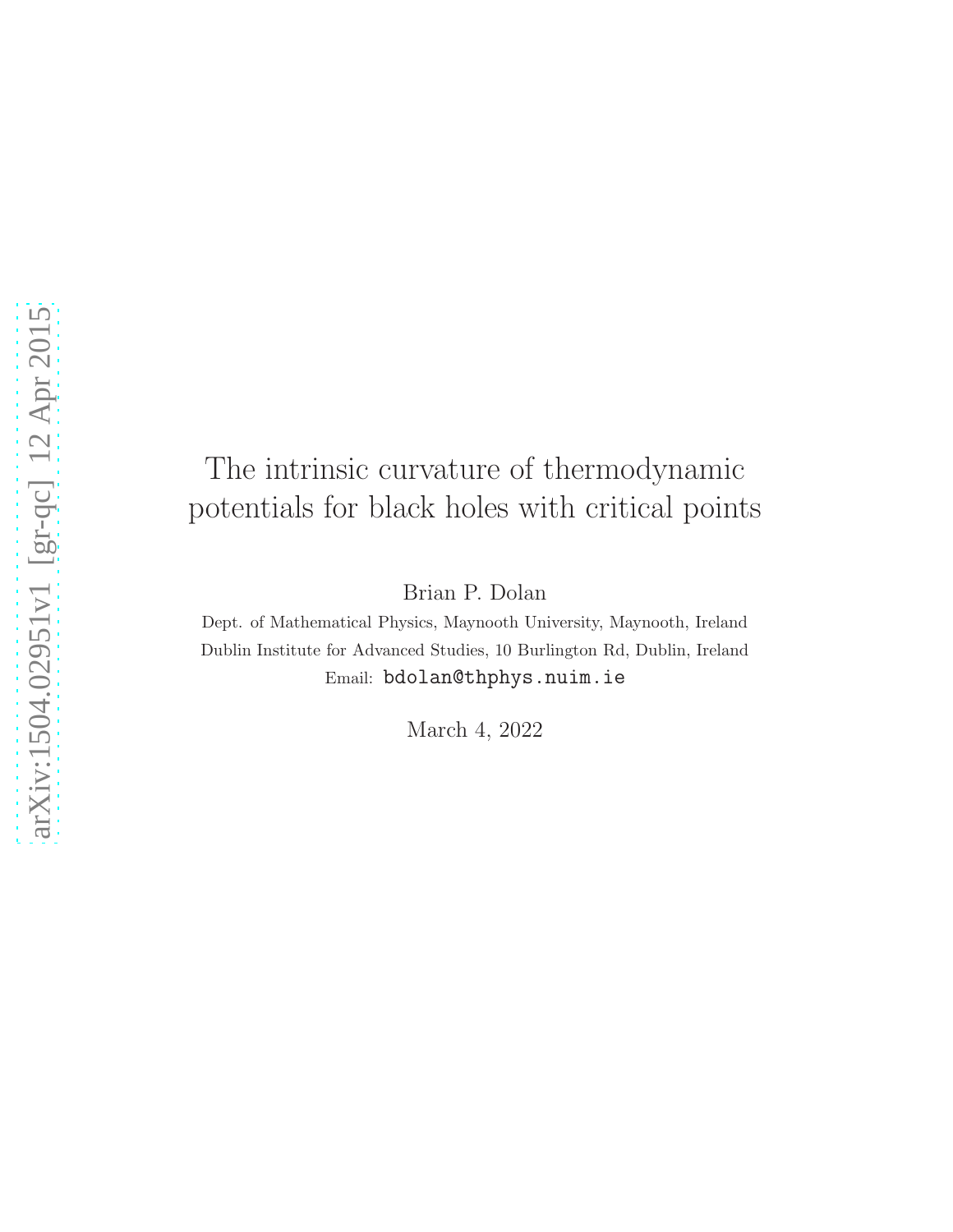# The intrinsic curvature of thermodynamic potentials for black holes with critical points

Brian P. Dolan

Dept. of Mathematical Physics, Maynooth University, Maynooth, Ireland Dublin Institute for Advanced Studies, 10 Burlington Rd, Dublin, Ireland Email: bdolan@thphys.nuim.ie

March 4, 2022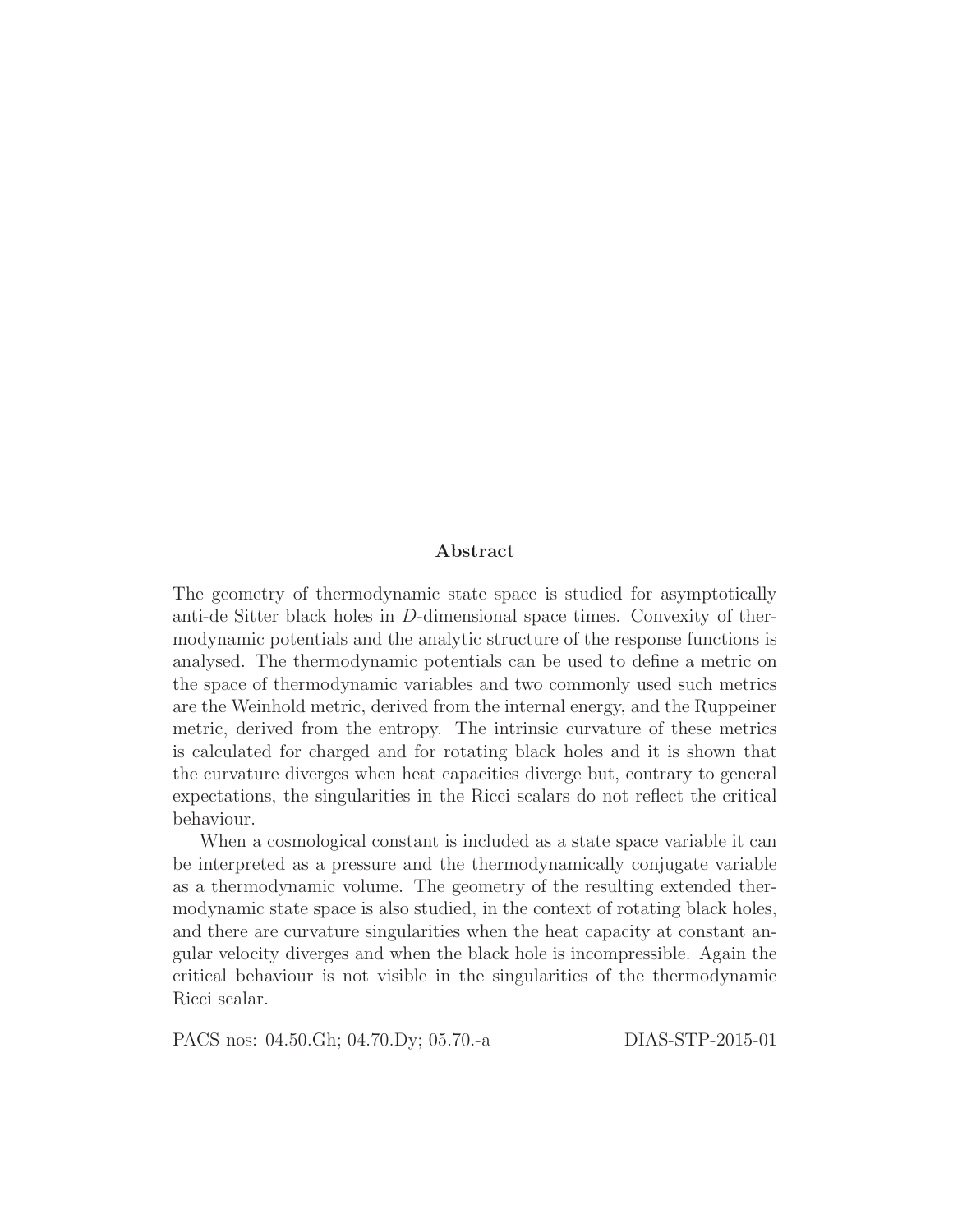#### Abstract

The geometry of thermodynamic state space is studied for asymptotically anti-de Sitter black holes in D-dimensional space times. Convexity of thermodynamic potentials and the analytic structure of the response functions is analysed. The thermodynamic potentials can be used to define a metric on the space of thermodynamic variables and two commonly used such metrics are the Weinhold metric, derived from the internal energy, and the Ruppeiner metric, derived from the entropy. The intrinsic curvature of these metrics is calculated for charged and for rotating black holes and it is shown that the curvature diverges when heat capacities diverge but, contrary to general expectations, the singularities in the Ricci scalars do not reflect the critical behaviour.

When a cosmological constant is included as a state space variable it can be interpreted as a pressure and the thermodynamically conjugate variable as a thermodynamic volume. The geometry of the resulting extended thermodynamic state space is also studied, in the context of rotating black holes, and there are curvature singularities when the heat capacity at constant angular velocity diverges and when the black hole is incompressible. Again the critical behaviour is not visible in the singularities of the thermodynamic Ricci scalar.

PACS nos: 04.50.Gh; 04.70.Dy; 05.70.-a DIAS-STP-2015-01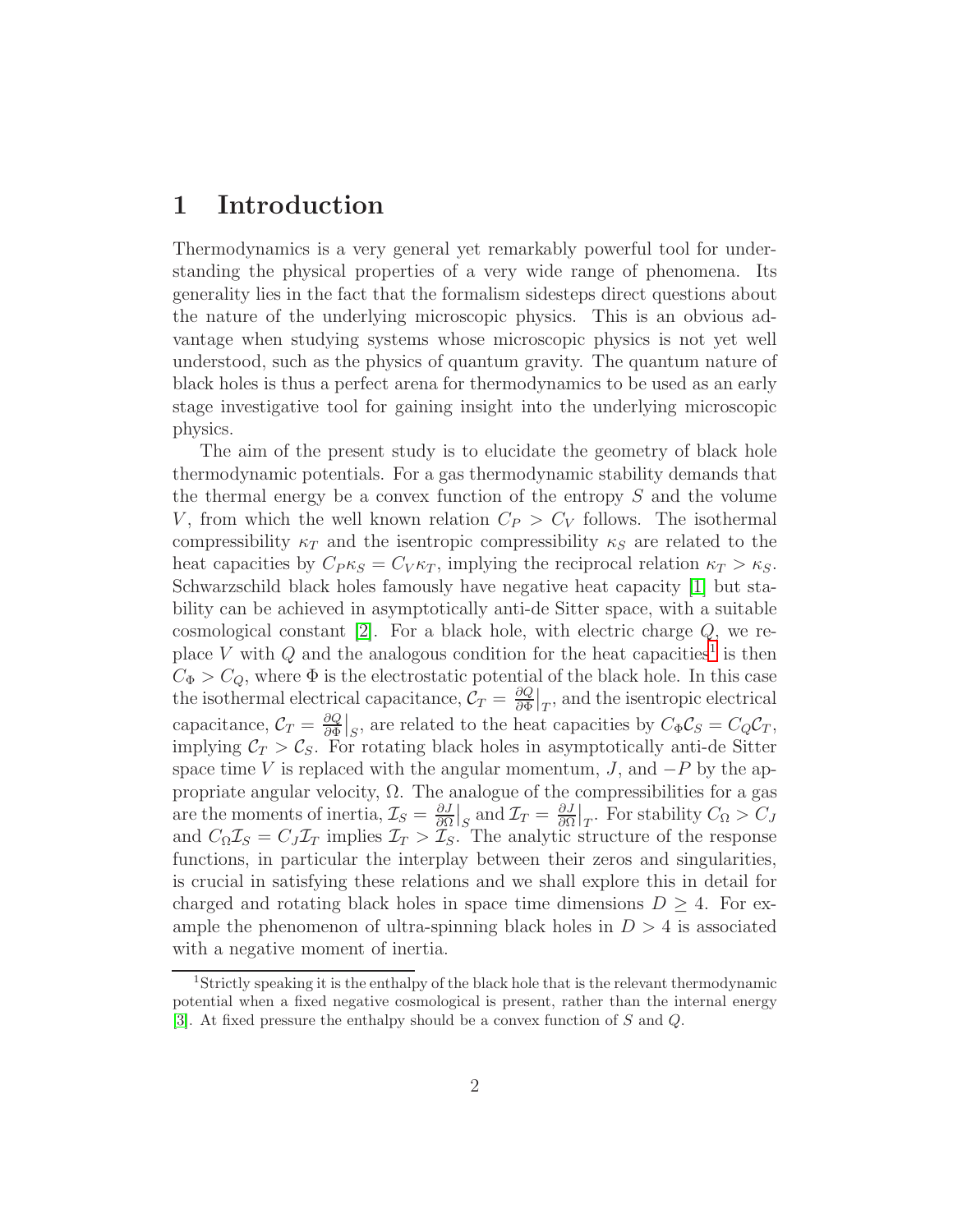### 1 Introduction

Thermodynamics is a very general yet remarkably powerful tool for understanding the physical properties of a very wide range of phenomena. Its generality lies in the fact that the formalism sidesteps direct questions about the nature of the underlying microscopic physics. This is an obvious advantage when studying systems whose microscopic physics is not yet well understood, such as the physics of quantum gravity. The quantum nature of black holes is thus a perfect arena for thermodynamics to be used as an early stage investigative tool for gaining insight into the underlying microscopic physics.

The aim of the present study is to elucidate the geometry of black hole thermodynamic potentials. For a gas thermodynamic stability demands that the thermal energy be a convex function of the entropy  $S$  and the volume V, from which the well known relation  $C_P > C_V$  follows. The isothermal compressibility  $\kappa_T$  and the isentropic compressibility  $\kappa_S$  are related to the heat capacities by  $C_{P} \kappa_S = C_V \kappa_T$ , implying the reciprocal relation  $\kappa_T > \kappa_S$ . Schwarzschild black holes famously have negative heat capacity [\[1\]](#page-31-0) but stability can be achieved in asymptotically anti-de Sitter space, with a suitable cosmological constant [\[2\]](#page-31-1). For a black hole, with electric charge Q, we re-place V with Q and the analogous condition for the heat capacities<sup>[1](#page-2-0)</sup> is then  $C_{\Phi} > C_Q$ , where  $\Phi$  is the electrostatic potential of the black hole. In this case the isothermal electrical capacitance,  $\mathcal{C}_T = \frac{\partial Q}{\partial \Phi}$  $\frac{\partial Q}{\partial \Phi}\big|_T$ , and the isentropic electrical capacitance,  $\mathcal{C}_T = \frac{\partial Q}{\partial \Phi}$  $\frac{\partial Q}{\partial \Phi}\big|_S$ , are related to the heat capacities by  $C_{\Phi} \mathcal{C}_S = C_Q \mathcal{C}_T$ , implying  $C_T > C_S$ . For rotating black holes in asymptotically anti-de Sitter space time V is replaced with the angular momentum, J, and  $-P$  by the appropriate angular velocity,  $\Omega$ . The analogue of the compressibilities for a gas are the moments of inertia,  $\mathcal{I}_S = \frac{\partial J}{\partial \Omega}$  $\frac{\partial J}{\partial \Omega}\Big|_{S}$  and  $\mathcal{I}_T = \frac{\partial J}{\partial \Omega}$  $\frac{\partial J}{\partial \Omega}|_T$ . For stability  $C_{\Omega} > C_J$ and  $C_{\Omega} \mathcal{I}_S = C_J \mathcal{I}_T$  implies  $\mathcal{I}_T > \mathcal{I}_S$ . The analytic structure of the response functions, in particular the interplay between their zeros and singularities, is crucial in satisfying these relations and we shall explore this in detail for charged and rotating black holes in space time dimensions  $D \geq 4$ . For example the phenomenon of ultra-spinning black holes in  $D > 4$  is associated with a negative moment of inertia.

<span id="page-2-0"></span><sup>&</sup>lt;sup>1</sup>Strictly speaking it is the enthalpy of the black hole that is the relevant thermodynamic potential when a fixed negative cosmological is present, rather than the internal energy [\[3\]](#page-31-2). At fixed pressure the enthalpy should be a convex function of S and Q.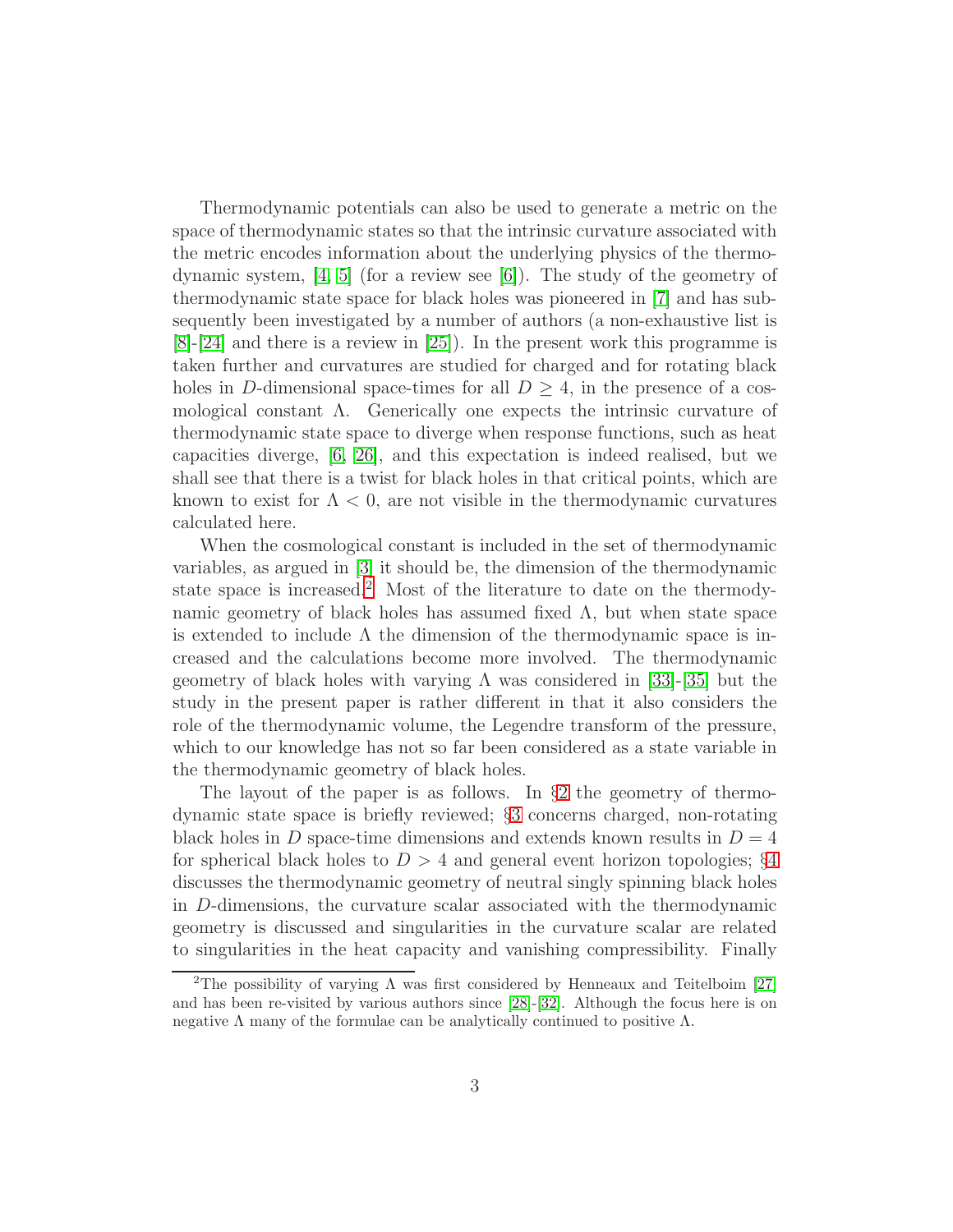Thermodynamic potentials can also be used to generate a metric on the space of thermodynamic states so that the intrinsic curvature associated with the metric encodes information about the underlying physics of the thermodynamic system,  $[4, 5]$  $[4, 5]$  (for a review see [\[6\]](#page-31-5)). The study of the geometry of thermodynamic state space for black holes was pioneered in [\[7\]](#page-31-6) and has subsequently been investigated by a number of authors (a non-exhaustive list is [\[8\]](#page-31-7)-[\[24\]](#page-32-0) and there is a review in [\[25\]](#page-32-1)). In the present work this programme is taken further and curvatures are studied for charged and for rotating black holes in D-dimensional space-times for all  $D \geq 4$ , in the presence of a cosmological constant  $\Lambda$ . Generically one expects the intrinsic curvature of thermodynamic state space to diverge when response functions, such as heat capacities diverge, [\[6,](#page-31-5) [26\]](#page-33-0), and this expectation is indeed realised, but we shall see that there is a twist for black holes in that critical points, which are known to exist for  $\Lambda < 0$ , are not visible in the thermodynamic curvatures calculated here.

When the cosmological constant is included in the set of thermodynamic variables, as argued in [\[3\]](#page-31-2) it should be, the dimension of the thermodynamic state space is increased.[2](#page-3-0) Most of the literature to date on the thermodynamic geometry of black holes has assumed fixed  $\Lambda$ , but when state space is extended to include  $\Lambda$  the dimension of the thermodynamic space is increased and the calculations become more involved. The thermodynamic geometry of black holes with varying  $\Lambda$  was considered in [\[33\]](#page-33-1)-[\[35\]](#page-33-2) but the study in the present paper is rather different in that it also considers the role of the thermodynamic volume, the Legendre transform of the pressure, which to our knowledge has not so far been considered as a state variable in the thermodynamic geometry of black holes.

The layout of the paper is as follows. In §[2](#page-4-0) the geometry of thermodynamic state space is briefly reviewed; §[3](#page-10-0) concerns charged, non-rotating black holes in D space-time dimensions and extends known results in  $D = 4$ for spherical black holes to  $D > 4$  $D > 4$  and general event horizon topologies; §4 discusses the thermodynamic geometry of neutral singly spinning black holes in D-dimensions, the curvature scalar associated with the thermodynamic geometry is discussed and singularities in the curvature scalar are related to singularities in the heat capacity and vanishing compressibility. Finally

<span id="page-3-0"></span><sup>&</sup>lt;sup>2</sup>The possibility of varying  $\Lambda$  was first considered by Henneaux and Teitelboim [\[27\]](#page-33-3) and has been re-visited by various authors since [\[28\]](#page-33-4)-[\[32\]](#page-33-5). Although the focus here is on negative  $\Lambda$  many of the formulae can be analytically continued to positive  $\Lambda$ .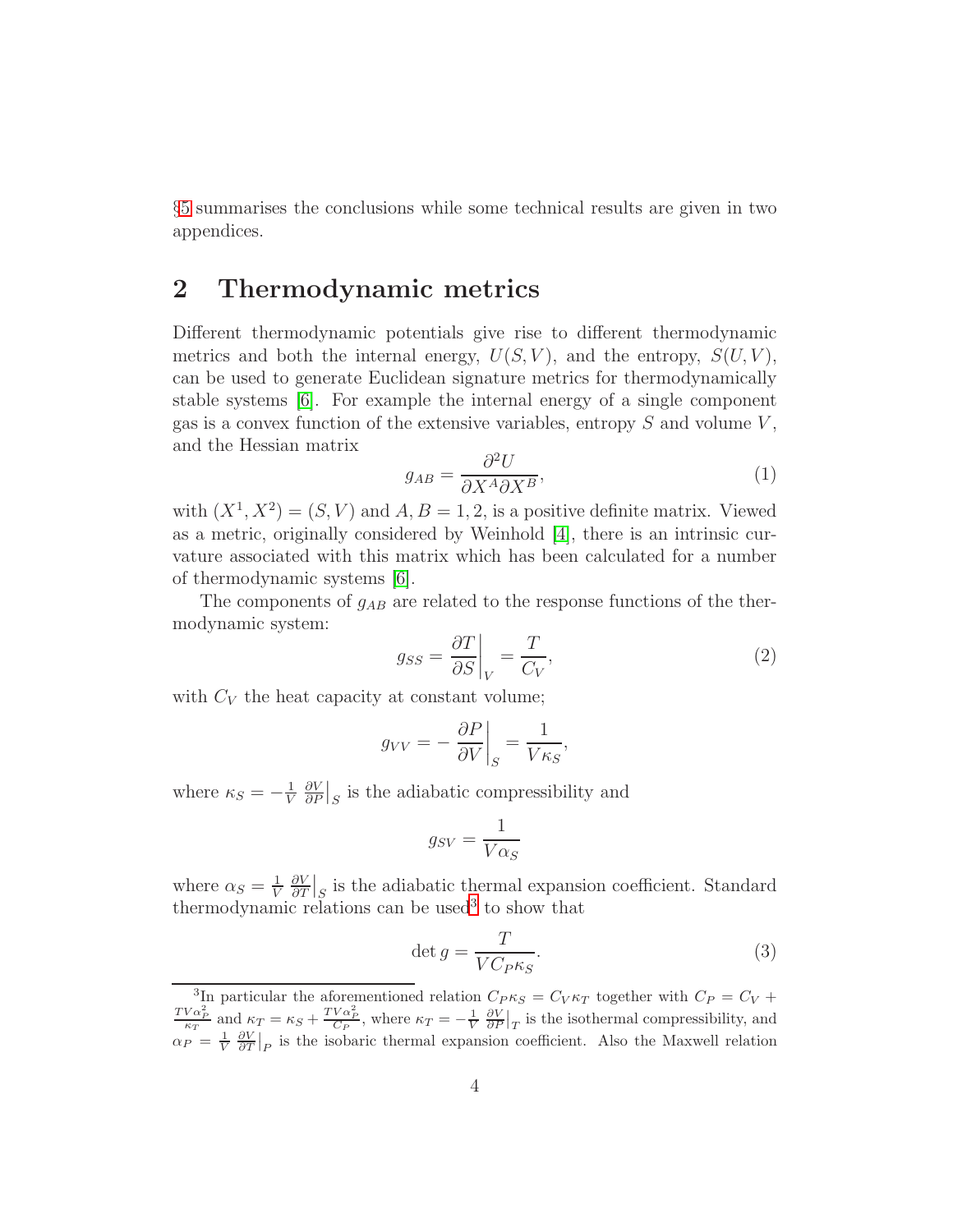§[5](#page-21-0) summarises the conclusions while some technical results are given in two appendices.

### <span id="page-4-0"></span>2 Thermodynamic metrics

Different thermodynamic potentials give rise to different thermodynamic metrics and both the internal energy,  $U(S, V)$ , and the entropy,  $S(U, V)$ , can be used to generate Euclidean signature metrics for thermodynamically stable systems [\[6\]](#page-31-5). For example the internal energy of a single component gas is a convex function of the extensive variables, entropy  $S$  and volume  $V$ , and the Hessian matrix

<span id="page-4-3"></span>
$$
g_{AB} = \frac{\partial^2 U}{\partial X^A \partial X^B},\tag{1}
$$

with  $(X^1, X^2) = (S, V)$  and  $A, B = 1, 2$ , is a positive definite matrix. Viewed as a metric, originally considered by Weinhold [\[4\]](#page-31-3), there is an intrinsic curvature associated with this matrix which has been calculated for a number of thermodynamic systems [\[6\]](#page-31-5).

The components of  $g_{AB}$  are related to the response functions of the thermodynamic system:

<span id="page-4-2"></span>
$$
g_{SS} = \frac{\partial T}{\partial S}\bigg|_{V} = \frac{T}{C_V},\tag{2}
$$

with  $C_V$  the heat capacity at constant volume;

$$
g_{VV} = -\left. \frac{\partial P}{\partial V} \right|_{S} = \frac{1}{V \kappa_{S}},
$$

where  $\kappa_S = -\frac{1}{V}$ V ∂V  $\frac{\partial V}{\partial P}\Big|_S$  is the adiabatic compressibility and

$$
g_{SV} = \frac{1}{V\alpha_S}
$$

where  $\alpha_S = \frac{1}{V}$ V ∂V  $\frac{\partial V}{\partial T}\Big|_S$  is the adiabatic thermal expansion coefficient. Standard thermodynamic relations can be used<sup>[3](#page-4-1)</sup> to show that

$$
\det g = \frac{T}{VC_{PKS}}.\tag{3}
$$

<span id="page-4-1"></span><sup>&</sup>lt;sup>3</sup>In particular the aforementioned relation  $C_P \kappa_S = C_V \kappa_T$  together with  $C_P = C_V + C_V$  $\frac{TV\alpha_P^2}{\kappa_T}$  and  $\kappa_T = \kappa_S + \frac{TV\alpha_P^2}{C_P}$ , where  $\kappa_T = -\frac{1}{V}$  $\frac{1}{V} \frac{\partial V}{\partial P}|_T$  is the isothermal compressibility, and  $\alpha_P = \frac{1}{V}$  $\frac{1}{V} \frac{\partial V}{\partial T}|_P$  is the isobaric thermal expansion coefficient. Also the Maxwell relation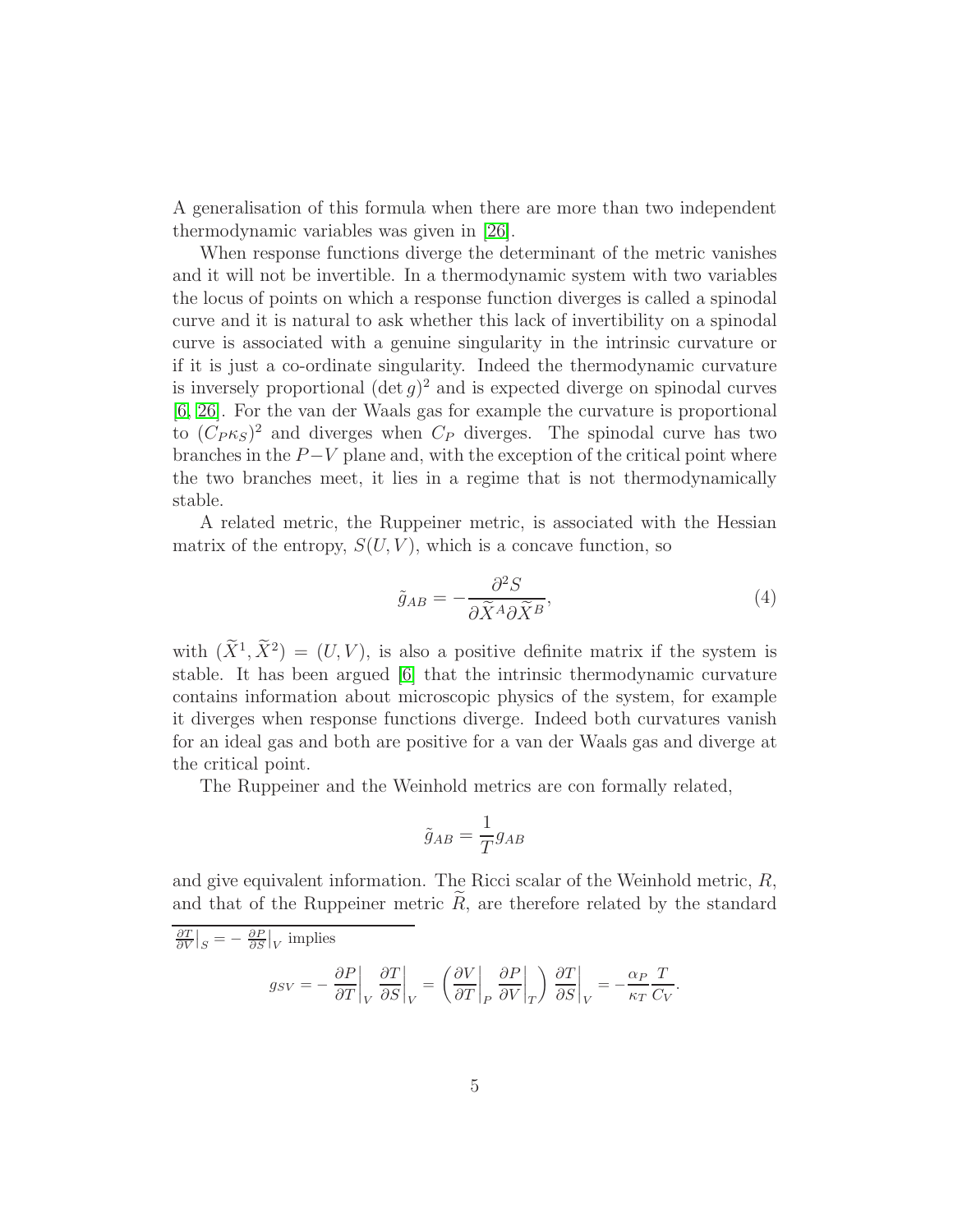A generalisation of this formula when there are more than two independent thermodynamic variables was given in [\[26\]](#page-33-0).

When response functions diverge the determinant of the metric vanishes and it will not be invertible. In a thermodynamic system with two variables the locus of points on which a response function diverges is called a spinodal curve and it is natural to ask whether this lack of invertibility on a spinodal curve is associated with a genuine singularity in the intrinsic curvature or if it is just a co-ordinate singularity. Indeed the thermodynamic curvature is inversely proportional  $(\det g)^2$  and is expected diverge on spinodal curves [\[6,](#page-31-5) [26\]](#page-33-0). For the van der Waals gas for example the curvature is proportional to  $(C_P \kappa_S)^2$  and diverges when  $C_P$  diverges. The spinodal curve has two branches in the  $P-V$  plane and, with the exception of the critical point where the two branches meet, it lies in a regime that is not thermodynamically stable.

A related metric, the Ruppeiner metric, is associated with the Hessian matrix of the entropy,  $S(U, V)$ , which is a concave function, so

<span id="page-5-0"></span>
$$
\tilde{g}_{AB} = -\frac{\partial^2 S}{\partial \tilde{X}^A \partial \tilde{X}^B},\tag{4}
$$

with  $(\tilde{X}^1, \tilde{X}^2) = (U, V)$ , is also a positive definite matrix if the system is stable. It has been argued [\[6\]](#page-31-5) that the intrinsic thermodynamic curvature contains information about microscopic physics of the system, for example it diverges when response functions diverge. Indeed both curvatures vanish for an ideal gas and both are positive for a van der Waals gas and diverge at the critical point.

The Ruppeiner and the Weinhold metrics are con formally related,

$$
\tilde{g}_{AB} = \frac{1}{T} g_{AB}
$$

and give equivalent information. The Ricci scalar of the Weinhold metric, R, and that of the Ruppeiner metric  $R$ , are therefore related by the standard

$$
\frac{\partial T}{\partial V}\Big|_{S} = -\frac{\partial P}{\partial S}\Big|_{V} \text{ implies}
$$

$$
g_{SV} = -\frac{\partial P}{\partial T}\Big|_{V} \frac{\partial T}{\partial S}\Big|_{V} = \left(\frac{\partial V}{\partial T}\Big|_{P} \frac{\partial P}{\partial V}\Big|_{T}\right) \frac{\partial T}{\partial S}\Big|_{V} = -\frac{\alpha_{P}}{\kappa_{T}} \frac{T}{C_{V}}.
$$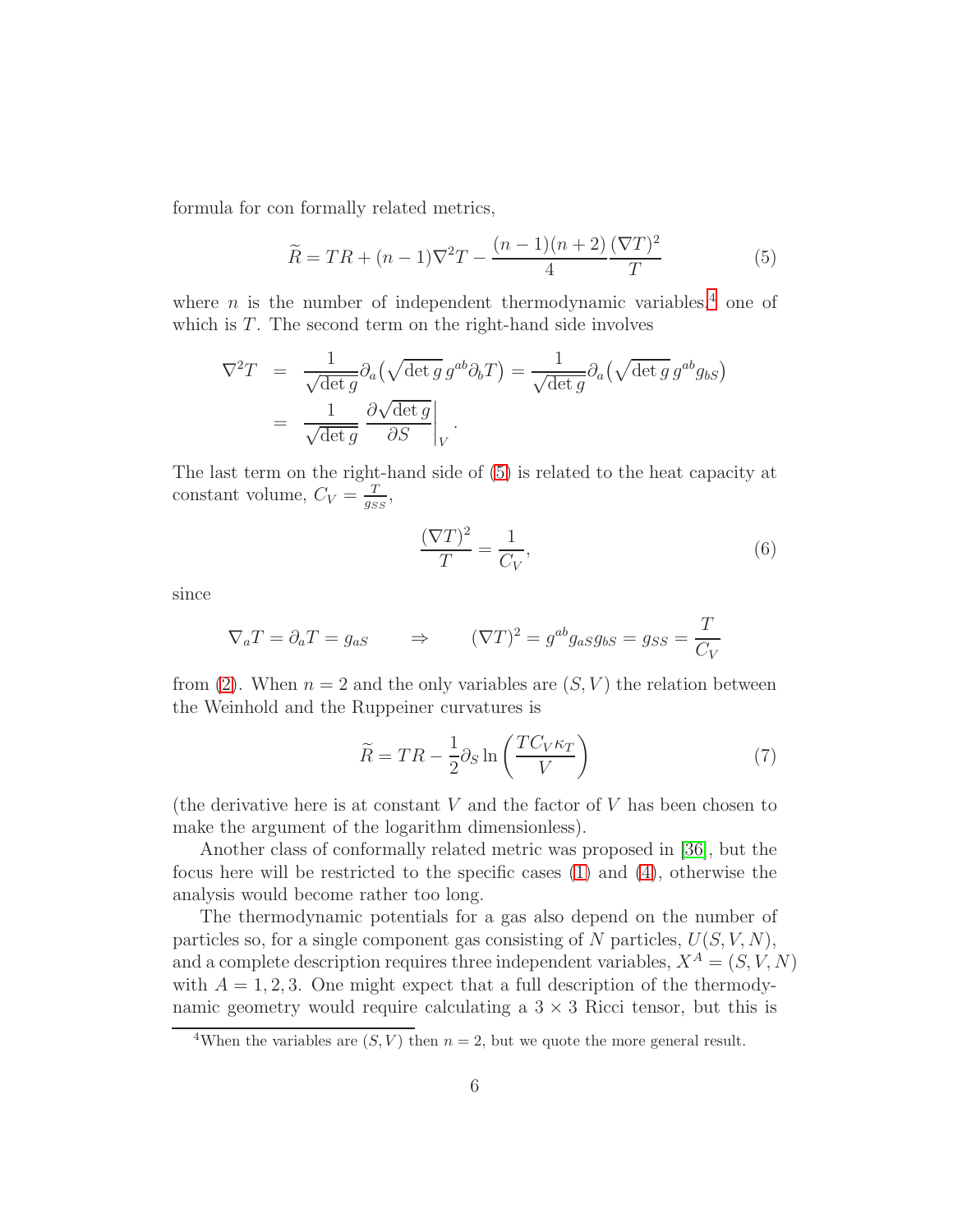formula for con formally related metrics,

<span id="page-6-1"></span>
$$
\widetilde{R} = TR + (n-1)\nabla^2 T - \frac{(n-1)(n+2)}{4} \frac{(\nabla T)^2}{T}
$$
\n(5)

where  $n$  is the number of independent thermodynamic variables,<sup>[4](#page-6-0)</sup> one of which is  $T$ . The second term on the right-hand side involves

$$
\nabla^2 T = \frac{1}{\sqrt{\det g}} \partial_a (\sqrt{\det g} g^{ab} \partial_b T) = \frac{1}{\sqrt{\det g}} \partial_a (\sqrt{\det g} g^{ab} g_{bS})
$$
  
= 
$$
\frac{1}{\sqrt{\det g}} \frac{\partial \sqrt{\det g}}{\partial S} \Big|_V.
$$

The last term on the right-hand side of [\(5\)](#page-6-1) is related to the heat capacity at constant volume,  $C_V = \frac{T}{q_S}$  $\frac{T}{g_{SS}},$ 

$$
\frac{(\nabla T)^2}{T} = \frac{1}{C_V},\tag{6}
$$

since

$$
\nabla_a T = \partial_a T = g_{aS} \qquad \Rightarrow \qquad (\nabla T)^2 = g^{ab} g_{aS} g_{bS} = g_{SS} = \frac{T}{C_V}
$$

from [\(2\)](#page-4-2). When  $n = 2$  and the only variables are  $(S, V)$  the relation between the Weinhold and the Ruppeiner curvatures is

<span id="page-6-2"></span>
$$
\widetilde{R} = TR - \frac{1}{2}\partial_S \ln\left(\frac{TC_V\kappa_T}{V}\right) \tag{7}
$$

(the derivative here is at constant  $V$  and the factor of  $V$  has been chosen to make the argument of the logarithm dimensionless).

Another class of conformally related metric was proposed in [\[36\]](#page-33-6), but the focus here will be restricted to the specific cases [\(1\)](#page-4-3) and [\(4\)](#page-5-0), otherwise the analysis would become rather too long.

The thermodynamic potentials for a gas also depend on the number of particles so, for a single component gas consisting of N particles,  $U(S, V, N)$ , and a complete description requires three independent variables,  $X^A = (S, V, N)$ with  $A = 1, 2, 3$ . One might expect that a full description of the thermodynamic geometry would require calculating a  $3 \times 3$  Ricci tensor, but this is

<span id="page-6-0"></span><sup>&</sup>lt;sup>4</sup>When the variables are  $(S, V)$  then  $n = 2$ , but we quote the more general result.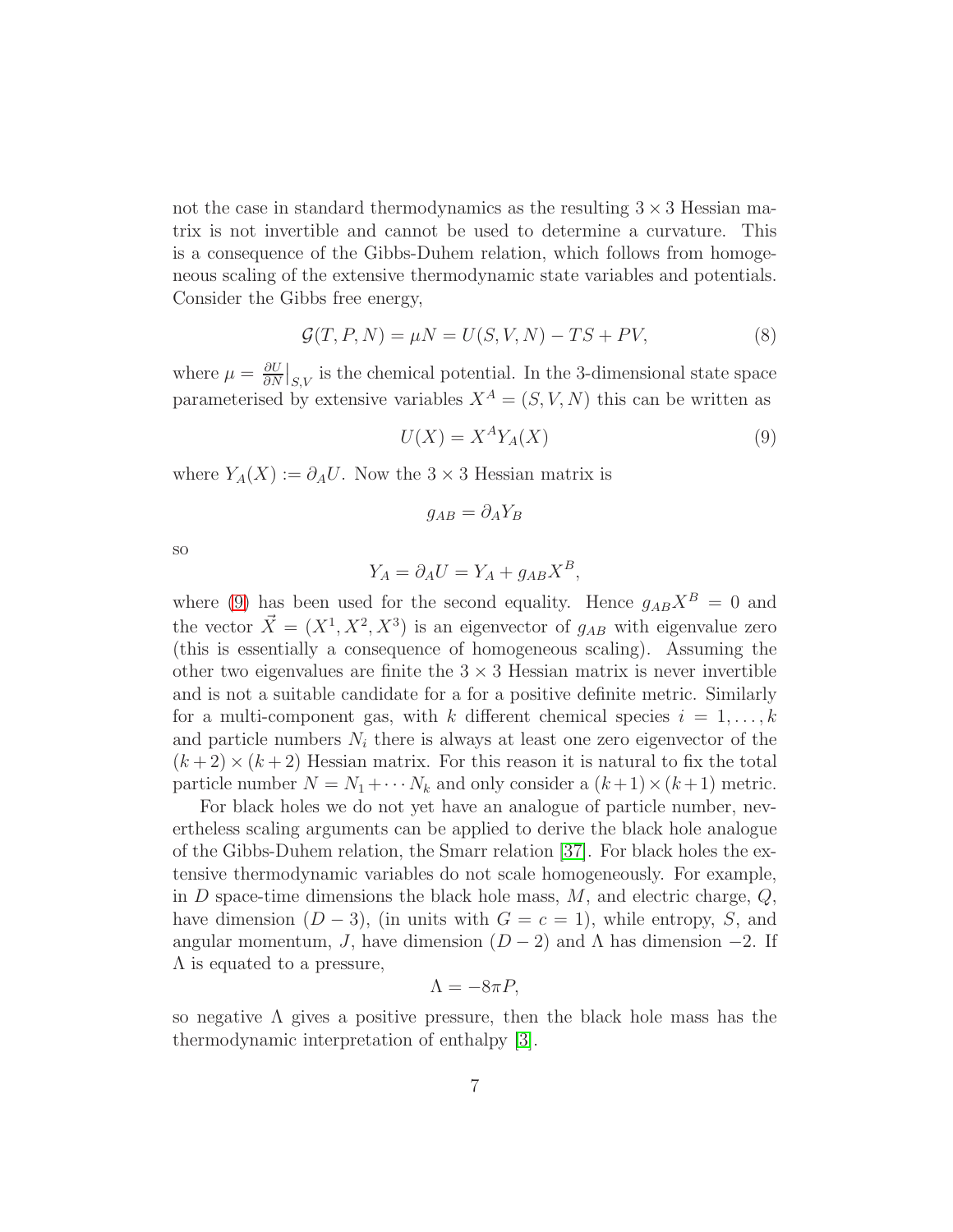not the case in standard thermodynamics as the resulting  $3 \times 3$  Hessian matrix is not invertible and cannot be used to determine a curvature. This is a consequence of the Gibbs-Duhem relation, which follows from homogeneous scaling of the extensive thermodynamic state variables and potentials. Consider the Gibbs free energy,

<span id="page-7-1"></span>
$$
\mathcal{G}(T, P, N) = \mu N = U(S, V, N) - TS + PV,\tag{8}
$$

where  $\mu = \frac{\partial U}{\partial N}$  $\frac{\partial U}{\partial N}\big|_{S,V}$  is the chemical potential. In the 3-dimensional state space parameterised by extensive variables  $X^A = (S, V, N)$  this can be written as

<span id="page-7-0"></span>
$$
U(X) = X^A Y_A(X) \tag{9}
$$

where  $Y_A(X) := \partial_A U$ . Now the 3 × 3 Hessian matrix is

$$
g_{AB} = \partial_A Y_B
$$

so

$$
Y_A = \partial_A U = Y_A + g_{AB} X^B,
$$

where [\(9\)](#page-7-0) has been used for the second equality. Hence  $g_{AB}X^B = 0$  and the vector  $\vec{X} = (X^1, X^2, X^3)$  is an eigenvector of  $g_{AB}$  with eigenvalue zero (this is essentially a consequence of homogeneous scaling). Assuming the other two eigenvalues are finite the  $3 \times 3$  Hessian matrix is never invertible and is not a suitable candidate for a for a positive definite metric. Similarly for a multi-component gas, with k different chemical species  $i = 1, \ldots, k$ and particle numbers  $N_i$  there is always at least one zero eigenvector of the  $(k+2) \times (k+2)$  Hessian matrix. For this reason it is natural to fix the total particle number  $N = N_1 + \cdots N_k$  and only consider a  $(k+1) \times (k+1)$  metric.

For black holes we do not yet have an analogue of particle number, nevertheless scaling arguments can be applied to derive the black hole analogue of the Gibbs-Duhem relation, the Smarr relation [\[37\]](#page-33-7). For black holes the extensive thermodynamic variables do not scale homogeneously. For example, in  $D$  space-time dimensions the black hole mass,  $M$ , and electric charge,  $Q$ , have dimension  $(D-3)$ , (in units with  $G = c = 1$ ), while entropy, S, and angular momentum, J, have dimension  $(D-2)$  and  $\Lambda$  has dimension  $-2$ . If  $\Lambda$  is equated to a pressure,

$$
\Lambda = -8\pi P,
$$

so negative  $\Lambda$  gives a positive pressure, then the black hole mass has the thermodynamic interpretation of enthalpy [\[3\]](#page-31-2).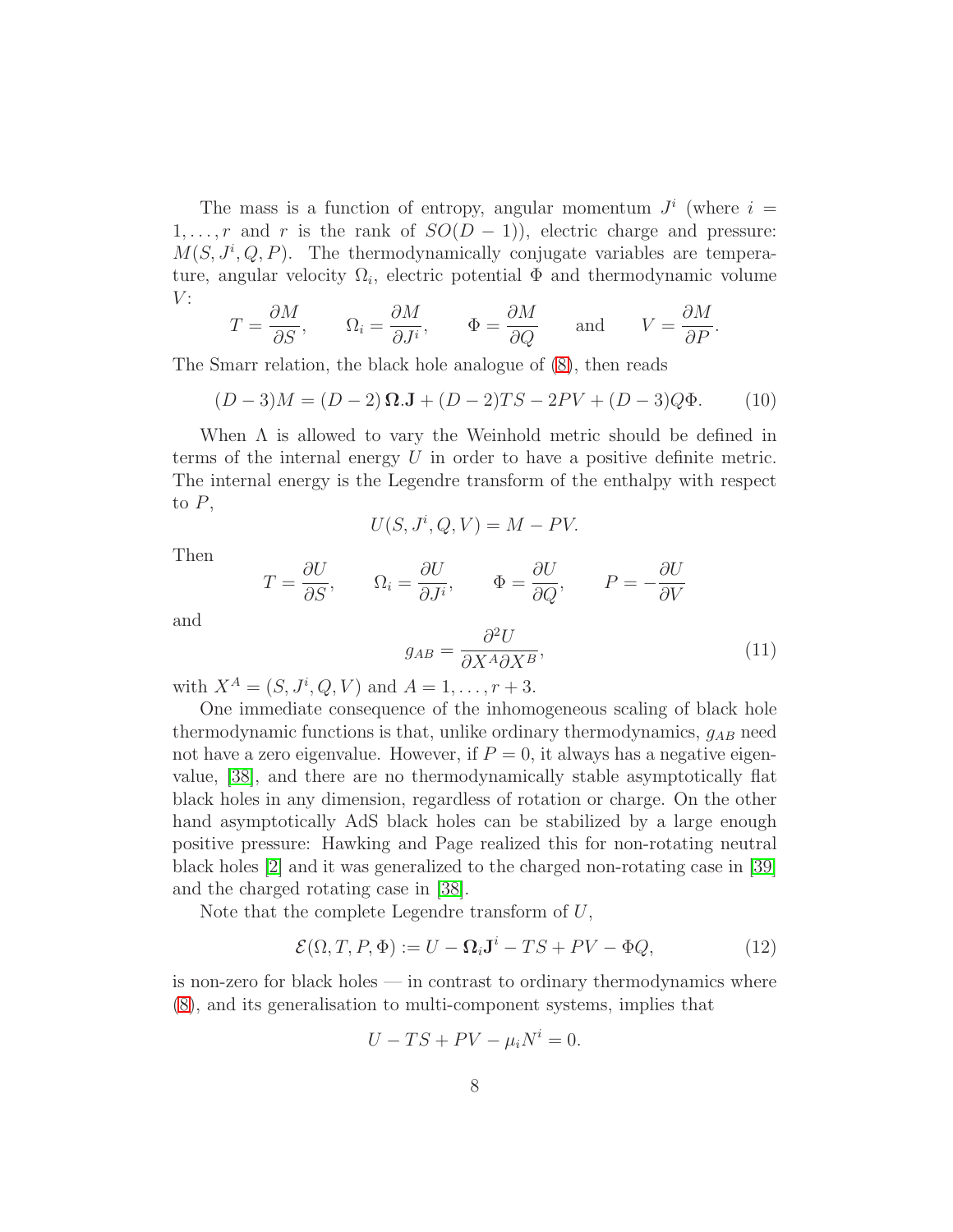The mass is a function of entropy, angular momentum  $J^i$  (where  $i =$ 1, ..., r and r is the rank of  $SO(D-1)$ ), electric charge and pressure:  $M(S, J^i, Q, P)$ . The thermodynamically conjugate variables are temperature, angular velocity  $\Omega_i$ , electric potential  $\Phi$  and thermodynamic volume  $V$ :

$$
T = \frac{\partial M}{\partial S},
$$
  $\Omega_i = \frac{\partial M}{\partial J^i},$   $\Phi = \frac{\partial M}{\partial Q}$  and  $V = \frac{\partial M}{\partial P}.$ 

The Smarr relation, the black hole analogue of [\(8\)](#page-7-1), then reads

$$
(D-3)M = (D-2)\Omega \mathbf{J} + (D-2)TS - 2PV + (D-3)Q\Phi. \tag{10}
$$

When  $\Lambda$  is allowed to vary the Weinhold metric should be defined in terms of the internal energy  $U$  in order to have a positive definite metric. The internal energy is the Legendre transform of the enthalpy with respect to  $P$ ,

<span id="page-8-0"></span>
$$
U(S, J^i, Q, V) = M - PV.
$$

Then

and

$$
T = \frac{\partial U}{\partial S}, \qquad \Omega_i = \frac{\partial U}{\partial J^i}, \qquad \Phi = \frac{\partial U}{\partial Q}, \qquad P = -\frac{\partial U}{\partial V}
$$

$$
g_{AB} = \frac{\partial^2 U}{\partial X^A \partial X^B}, \tag{11}
$$

with  $X^A = (S, J^i, Q, V)$  and  $A = 1, ..., r + 3$ .

One immediate consequence of the inhomogeneous scaling of black hole thermodynamic functions is that, unlike ordinary thermodynamics,  $g_{AB}$  need not have a zero eigenvalue. However, if  $P = 0$ , it always has a negative eigenvalue, [\[38\]](#page-33-8), and there are no thermodynamically stable asymptotically flat black holes in any dimension, regardless of rotation or charge. On the other hand asymptotically AdS black holes can be stabilized by a large enough positive pressure: Hawking and Page realized this for non-rotating neutral black holes [\[2\]](#page-31-1) and it was generalized to the charged non-rotating case in [\[39\]](#page-33-9) and the charged rotating case in [\[38\]](#page-33-8).

Note that the complete Legendre transform of  $U$ ,

$$
\mathcal{E}(\Omega, T, P, \Phi) := U - \Omega_i \mathbf{J}^i - TS + PV - \Phi Q,\tag{12}
$$

is non-zero for black holes — in contrast to ordinary thermodynamics where [\(8\)](#page-7-1), and its generalisation to multi-component systems, implies that

$$
U - TS + PV - \mu_i N^i = 0.
$$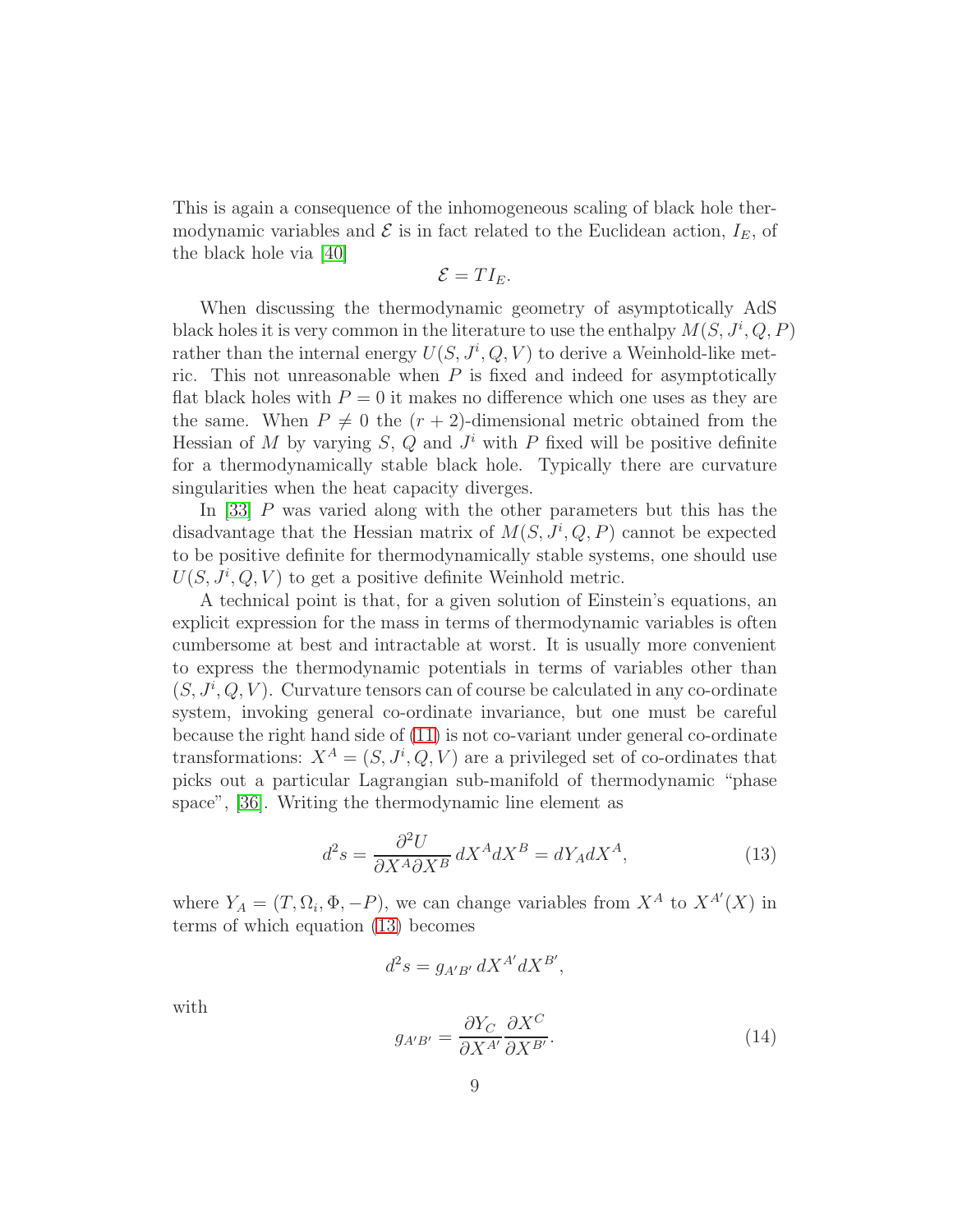This is again a consequence of the inhomogeneous scaling of black hole thermodynamic variables and  $\mathcal E$  is in fact related to the Euclidean action,  $I_E$ , of the black hole via [\[40\]](#page-33-10)

$$
\mathcal{E}=TI_E.
$$

When discussing the thermodynamic geometry of asymptotically AdS black holes it is very common in the literature to use the enthalpy  $M(S, J^i, Q, P)$ rather than the internal energy  $U(S, J^i, Q, V)$  to derive a Weinhold-like metric. This not unreasonable when  $P$  is fixed and indeed for asymptotically flat black holes with  $P = 0$  it makes no difference which one uses as they are the same. When  $P \neq 0$  the  $(r + 2)$ -dimensional metric obtained from the Hessian of M by varying  $S$ , Q and  $J^i$  with P fixed will be positive definite for a thermodynamically stable black hole. Typically there are curvature singularities when the heat capacity diverges.

In [\[33\]](#page-33-1) P was varied along with the other parameters but this has the disadvantage that the Hessian matrix of  $M(S, J^i, Q, P)$  cannot be expected to be positive definite for thermodynamically stable systems, one should use  $U(S, J^i, Q, V)$  to get a positive definite Weinhold metric.

A technical point is that, for a given solution of Einstein's equations, an explicit expression for the mass in terms of thermodynamic variables is often cumbersome at best and intractable at worst. It is usually more convenient to express the thermodynamic potentials in terms of variables other than  $(S, J^i, Q, V)$ . Curvature tensors can of course be calculated in any co-ordinate system, invoking general co-ordinate invariance, but one must be careful because the right hand side of [\(11\)](#page-8-0) is not co-variant under general co-ordinate transformations:  $X^A = (S, J^i, Q, V)$  are a privileged set of co-ordinates that picks out a particular Lagrangian sub-manifold of thermodynamic "phase space", [\[36\]](#page-33-6). Writing the thermodynamic line element as

<span id="page-9-0"></span>
$$
d^2s = \frac{\partial^2 U}{\partial X^A \partial X^B} dX^A dX^B = dY_A dX^A,\tag{13}
$$

where  $Y_A = (T, \Omega_i, \Phi, -P)$ , we can change variables from  $X^A$  to  $X^{A'}(X)$  in terms of which equation [\(13\)](#page-9-0) becomes

$$
d^2s = g_{A'B'} dX^{A'} dX^{B'},
$$

with

<span id="page-9-1"></span>
$$
g_{A'B'} = \frac{\partial Y_C}{\partial X^{A'}} \frac{\partial X^C}{\partial X^{B'}}.
$$
\n(14)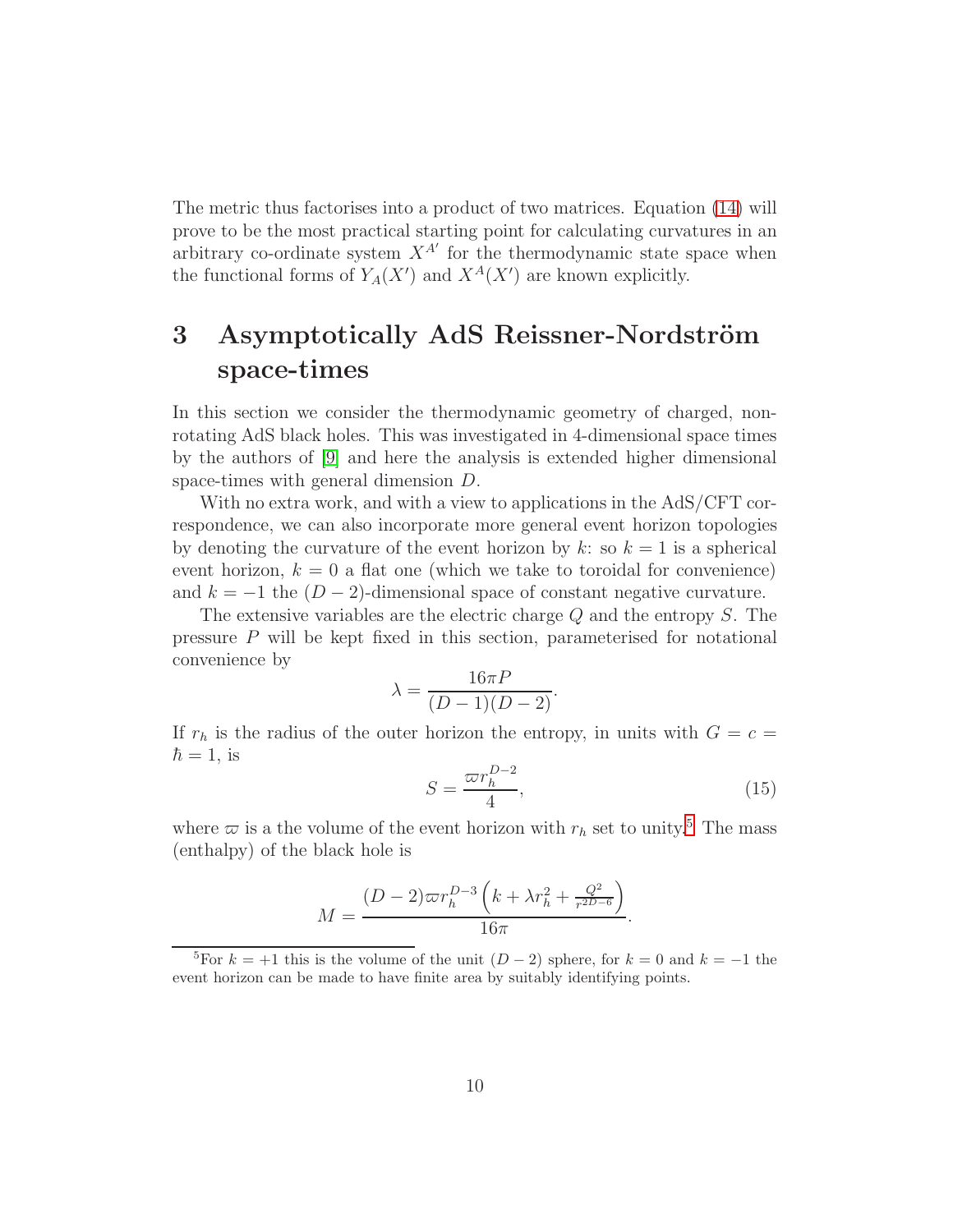The metric thus factorises into a product of two matrices. Equation [\(14\)](#page-9-1) will prove to be the most practical starting point for calculating curvatures in an arbitrary co-ordinate system  $X^{A'}$  for the thermodynamic state space when the functional forms of  $Y_A(X')$  and  $X^A(X')$  are known explicitly.

## <span id="page-10-0"></span>3 Asymptotically AdS Reissner-Nordström space-times

In this section we consider the thermodynamic geometry of charged, nonrotating AdS black holes. This was investigated in 4-dimensional space times by the authors of [\[9\]](#page-31-8) and here the analysis is extended higher dimensional space-times with general dimension D.

With no extra work, and with a view to applications in the AdS/CFT correspondence, we can also incorporate more general event horizon topologies by denoting the curvature of the event horizon by k: so  $k = 1$  is a spherical event horizon,  $k = 0$  a flat one (which we take to toroidal for convenience) and  $k = -1$  the  $(D-2)$ -dimensional space of constant negative curvature.

The extensive variables are the electric charge Q and the entropy S. The pressure P will be kept fixed in this section, parameterised for notational convenience by

$$
\lambda = \frac{16\pi P}{(D-1)(D-2)}.
$$

If  $r_h$  is the radius of the outer horizon the entropy, in units with  $G = c =$  $\hbar = 1$ , is

$$
S = \frac{\varpi r_h^{D-2}}{4},\tag{15}
$$

where  $\varpi$  is a the volume of the event horizon with  $r_h$  set to unity.<sup>[5](#page-10-1)</sup> The mass (enthalpy) of the black hole is

$$
M = \frac{(D-2)\varpi r_h^{D-3} \left(k + \lambda r_h^2 + \frac{Q^2}{r^{2D-6}}\right)}{16\pi}.
$$

<span id="page-10-1"></span><sup>&</sup>lt;sup>5</sup>For  $k = +1$  this is the volume of the unit  $(D-2)$  sphere, for  $k = 0$  and  $k = -1$  the event horizon can be made to have finite area by suitably identifying points.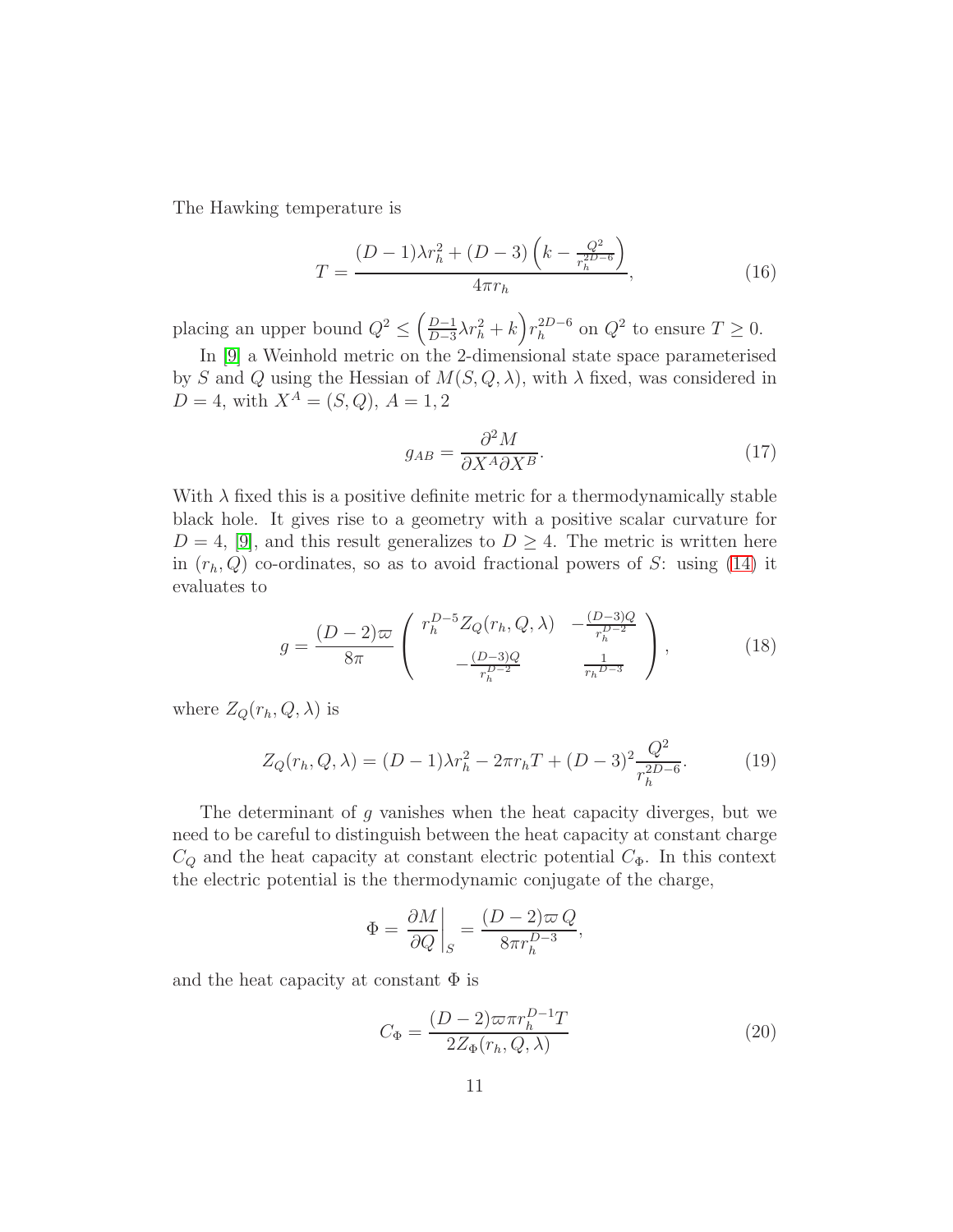The Hawking temperature is

$$
T = \frac{(D-1)\lambda r_h^2 + (D-3)\left(k - \frac{Q^2}{r_h^{2D-6}}\right)}{4\pi r_h},
$$
\n(16)

placing an upper bound  $Q^2 \leq \left(\frac{D-1}{D-3}\right)$  $\frac{D-1}{D-3}\lambda r_h^2 + k \, \binom{2D-6}{h}$  $h^{2D-6}$  on  $Q^2$  to ensure  $T \geq 0$ .

In [\[9\]](#page-31-8) a Weinhold metric on the 2-dimensional state space parameterised by S and Q using the Hessian of  $M(S, Q, \lambda)$ , with  $\lambda$  fixed, was considered in  $D = 4$ , with  $X^A = (S, Q)$ ,  $A = 1, 2$ 

$$
g_{AB} = \frac{\partial^2 M}{\partial X^A \partial X^B}.
$$
\n(17)

With  $\lambda$  fixed this is a positive definite metric for a thermodynamically stable black hole. It gives rise to a geometry with a positive scalar curvature for  $D = 4$ , [\[9\]](#page-31-8), and this result generalizes to  $D \geq 4$ . The metric is written here in  $(r_h, Q)$  co-ordinates, so as to avoid fractional powers of S: using [\(14\)](#page-9-1) it evaluates to

<span id="page-11-0"></span>
$$
g = \frac{(D-2)\varpi}{8\pi} \begin{pmatrix} r_h^{D-5} Z_Q(r_h, Q, \lambda) & -\frac{(D-3)Q}{r_h^{D-2}}\\ -\frac{(D-3)Q}{r_h^{D-2}} & \frac{1}{r_h^{D-3}} \end{pmatrix},
$$
(18)

where  $Z_Q(r_h, Q, \lambda)$  is

$$
Z_Q(r_h, Q, \lambda) = (D - 1)\lambda r_h^2 - 2\pi r_h T + (D - 3)^2 \frac{Q^2}{r_h^{2D - 6}}.
$$
 (19)

The determinant of q vanishes when the heat capacity diverges, but we need to be careful to distinguish between the heat capacity at constant charge  $C_Q$  and the heat capacity at constant electric potential  $C_\Phi$ . In this context the electric potential is the thermodynamic conjugate of the charge,

$$
\Phi = \left. \frac{\partial M}{\partial Q} \right|_S = \frac{(D-2)\varpi Q}{8\pi r_h^{D-3}},
$$

and the heat capacity at constant  $\Phi$  is

$$
C_{\Phi} = \frac{(D-2)\varpi\pi r_h^{D-1}T}{2Z_{\Phi}(r_h, Q, \lambda)}
$$
(20)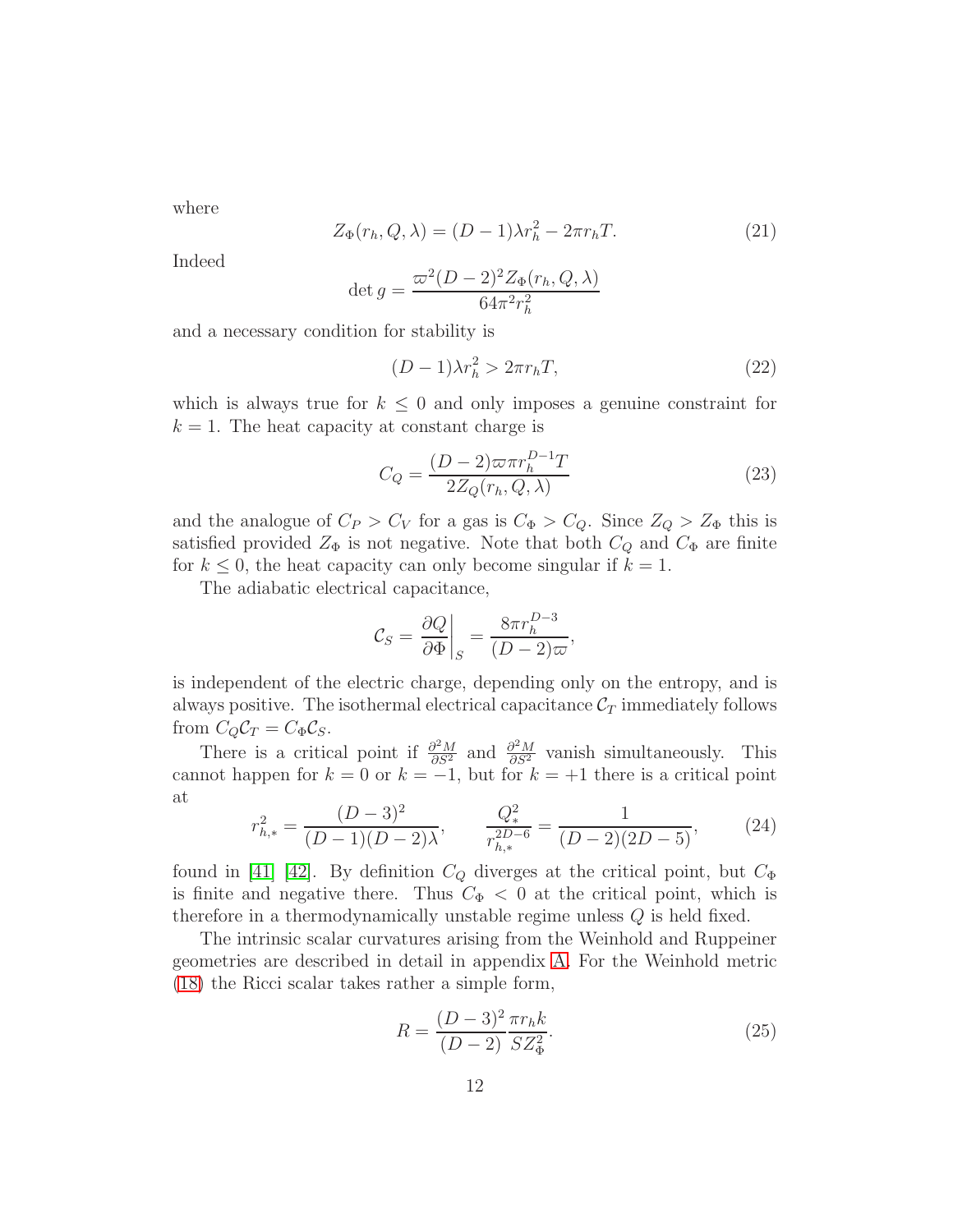where

$$
Z_{\Phi}(r_h, Q, \lambda) = (D - 1)\lambda r_h^2 - 2\pi r_h T.
$$
\n(21)

Indeed

$$
\det g = \frac{\varpi^2 (D-2)^2 Z_{\Phi}(r_h, Q, \lambda)}{64\pi^2 r_h^2}
$$

and a necessary condition for stability is

$$
(D-1)\lambda r_h^2 > 2\pi r_h T,\tag{22}
$$

which is always true for  $k \leq 0$  and only imposes a genuine constraint for  $k = 1$ . The heat capacity at constant charge is

$$
C_Q = \frac{(D-2)\varpi\pi r_h^{D-1}T}{2Z_Q(r_h, Q, \lambda)}\tag{23}
$$

and the analogue of  $C_P > C_V$  for a gas is  $C_{\Phi} > C_Q$ . Since  $Z_Q > Z_{\Phi}$  this is satisfied provided  $Z_{\Phi}$  is not negative. Note that both  $C_Q$  and  $C_{\Phi}$  are finite for  $k \leq 0$ , the heat capacity can only become singular if  $k = 1$ .

The adiabatic electrical capacitance,

$$
\mathcal{C}_S = \frac{\partial Q}{\partial \Phi} \bigg|_S = \frac{8\pi r_h^{D-3}}{(D-2)\varpi},
$$

is independent of the electric charge, depending only on the entropy, and is always positive. The isothermal electrical capacitance  $\mathcal{C}_T$  immediately follows from  $C_Q C_T = C_{\Phi} C_S$ .

There is a critical point if  $\frac{\partial^2 M}{\partial S^2}$  and  $\frac{\partial^2 M}{\partial S^2}$  vanish simultaneously. This cannot happen for  $k = 0$  or  $k = -1$ , but for  $k = +1$  there is a critical point at

$$
r_{h,*}^2 = \frac{(D-3)^2}{(D-1)(D-2)\lambda}, \qquad \frac{Q_*^2}{r_{h,*}^{2D-6}} = \frac{1}{(D-2)(2D-5)},
$$
(24)

found in [\[41\]](#page-33-11) [\[42\]](#page-34-0). By definition  $C_Q$  diverges at the critical point, but  $C_{\Phi}$ is finite and negative there. Thus  $C_{\Phi} < 0$  at the critical point, which is therefore in a thermodynamically unstable regime unless Q is held fixed.

The intrinsic scalar curvatures arising from the Weinhold and Ruppeiner geometries are described in detail in appendix [A.](#page-24-0) For the Weinhold metric [\(18\)](#page-11-0) the Ricci scalar takes rather a simple form,

<span id="page-12-0"></span>
$$
R = \frac{(D-3)^2 \pi r_h k}{(D-2) \, S Z_{\Phi}^2}.
$$
\n(25)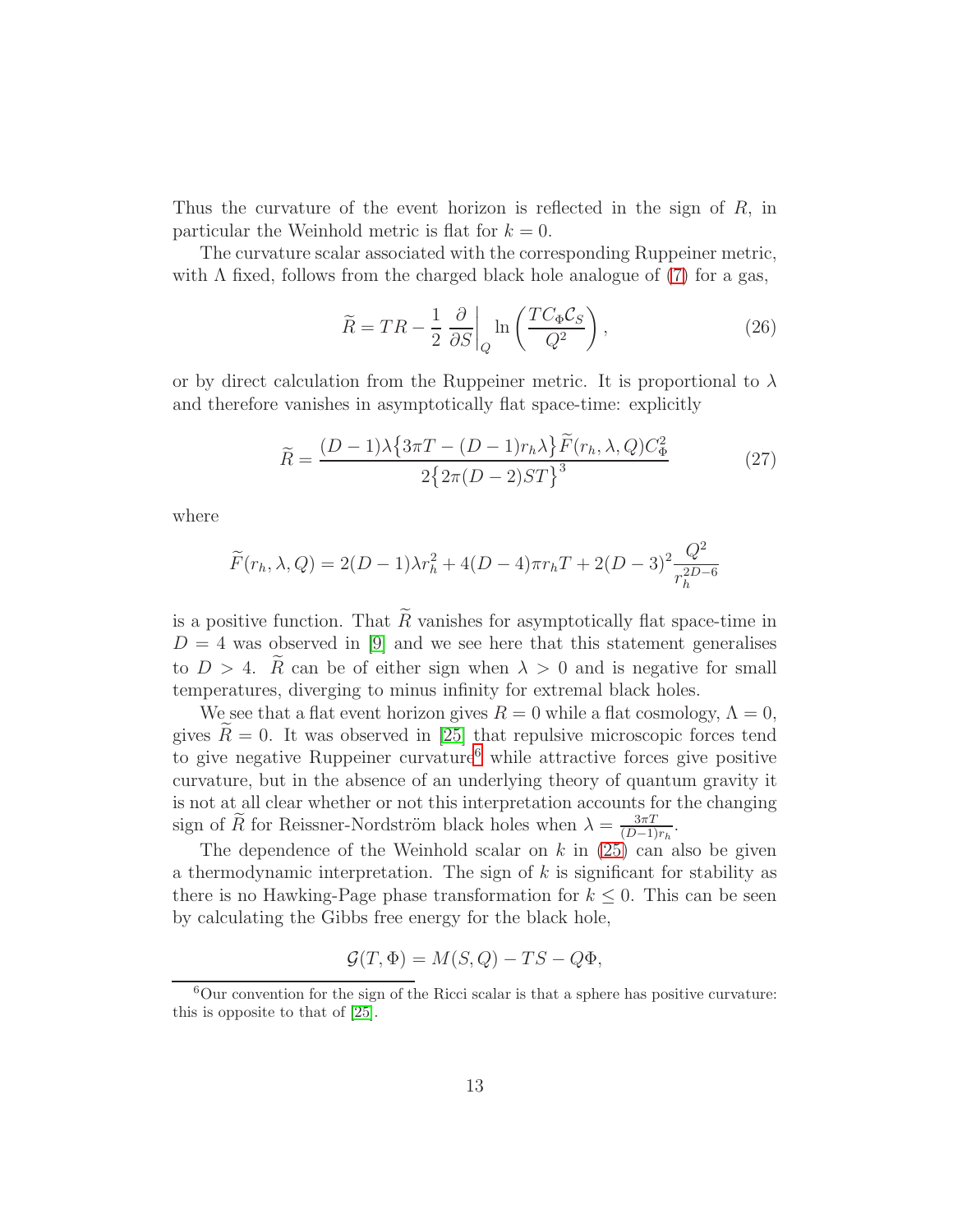Thus the curvature of the event horizon is reflected in the sign of R, in particular the Weinhold metric is flat for  $k = 0$ .

The curvature scalar associated with the corresponding Ruppeiner metric, with  $\Lambda$  fixed, follows from the charged black hole analogue of [\(7\)](#page-6-2) for a gas,

$$
\widetilde{R} = TR - \frac{1}{2} \left. \frac{\partial}{\partial S} \right|_Q \ln \left( \frac{TC_{\Phi} \mathcal{C}_S}{Q^2} \right),\tag{26}
$$

or by direct calculation from the Ruppeiner metric. It is proportional to  $\lambda$ and therefore vanishes in asymptotically flat space-time: explicitly

$$
\widetilde{R} = \frac{(D-1)\lambda \left\{3\pi T - (D-1)r_h\lambda\right\} \widetilde{F}(r_h, \lambda, Q)C_{\Phi}^2}{2\left\{2\pi (D-2)ST\right\}^3}
$$
(27)

where

$$
\widetilde{F}(r_h, \lambda, Q) = 2(D - 1)\lambda r_h^2 + 4(D - 4)\pi r_h T + 2(D - 3)^2 \frac{Q^2}{r_h^{2D - 6}}
$$

is a positive function. That  $\widetilde{R}$  vanishes for asymptotically flat space-time in  $D = 4$  was observed in [\[9\]](#page-31-8) and we see here that this statement generalises to  $D > 4$ . Re can be of either sign when  $\lambda > 0$  and is negative for small temperatures, diverging to minus infinity for extremal black holes.

We see that a flat event horizon gives  $R = 0$  while a flat cosmology,  $\Lambda = 0$ , gives  $R=0$ . It was observed in [\[25\]](#page-32-1) that repulsive microscopic forces tend to give negative Ruppeiner curvature<sup>[6](#page-13-0)</sup> while attractive forces give positive curvature, but in the absence of an underlying theory of quantum gravity it is not at all clear whether or not this interpretation accounts for the changing sign of  $\widetilde{R}$  for Reissner-Nordström black holes when  $\lambda = \frac{3\pi T}{(D-1)}$  $\frac{3\pi T}{(D-1)r_h}.$ 

The dependence of the Weinhold scalar on  $k$  in [\(25\)](#page-12-0) can also be given a thermodynamic interpretation. The sign of  $k$  is significant for stability as there is no Hawking-Page phase transformation for  $k \leq 0$ . This can be seen by calculating the Gibbs free energy for the black hole,

$$
\mathcal{G}(T,\Phi) = M(S,Q) - TS - Q\Phi,
$$

<span id="page-13-0"></span> ${}^{6}$ Our convention for the sign of the Ricci scalar is that a sphere has positive curvature: this is opposite to that of [\[25\]](#page-32-1).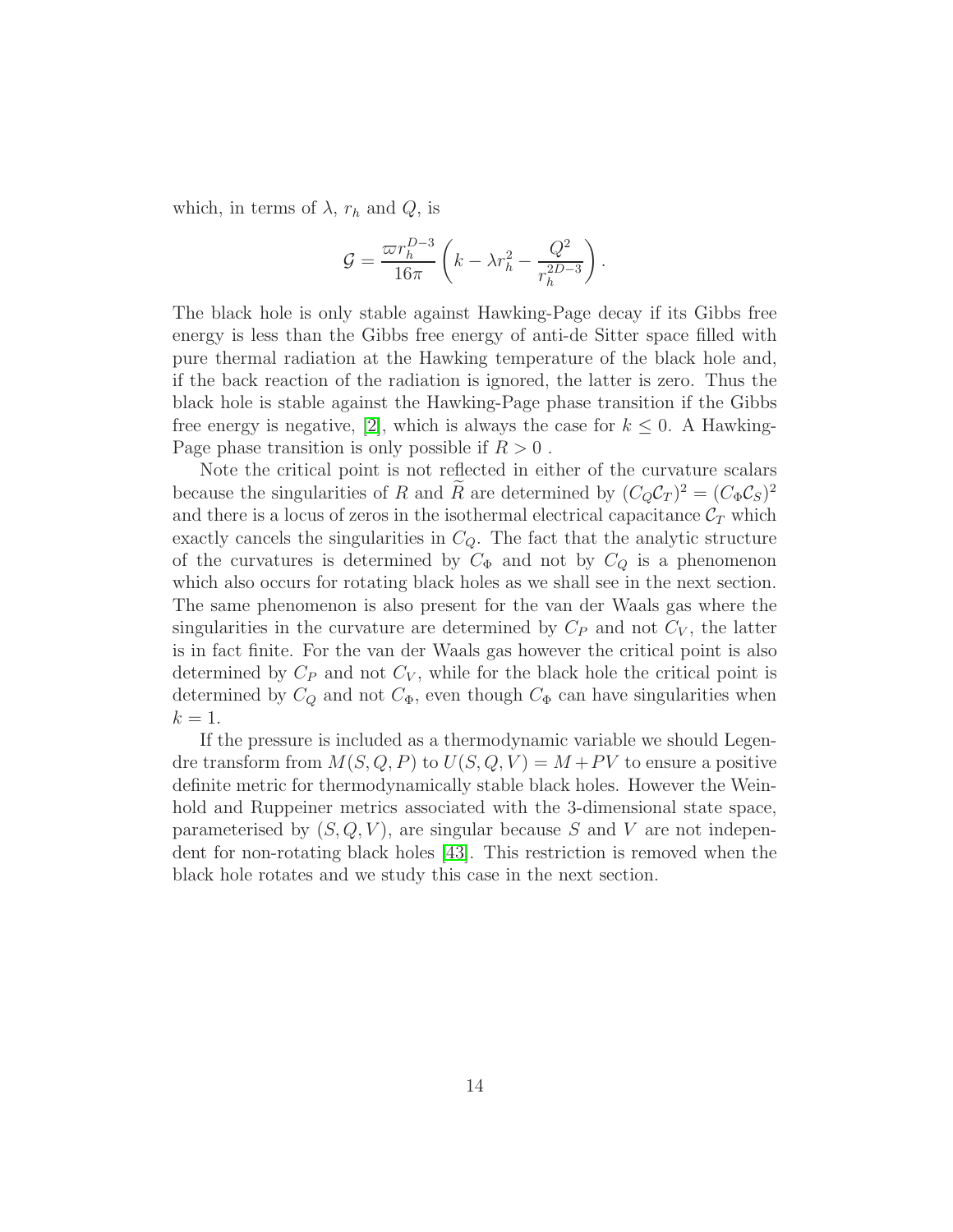which, in terms of  $\lambda$ ,  $r_h$  and  $Q$ , is

$$
\mathcal{G} = \frac{\varpi r_h^{D-3}}{16\pi} \left( k - \lambda r_h^2 - \frac{Q^2}{r_h^{2D-3}} \right).
$$

The black hole is only stable against Hawking-Page decay if its Gibbs free energy is less than the Gibbs free energy of anti-de Sitter space filled with pure thermal radiation at the Hawking temperature of the black hole and, if the back reaction of the radiation is ignored, the latter is zero. Thus the black hole is stable against the Hawking-Page phase transition if the Gibbs free energy is negative, [\[2\]](#page-31-1), which is always the case for  $k \leq 0$ . A Hawking-Page phase transition is only possible if  $R > 0$ .

Note the critical point is not reflected in either of the curvature scalars because the singularities of R and R are determined by  $(C_Q C_T)^2 = (C_{\Phi} C_S)^2$ and there is a locus of zeros in the isothermal electrical capacitance  $\mathcal{C}_T$  which exactly cancels the singularities in  $C_Q$ . The fact that the analytic structure of the curvatures is determined by  $C_{\Phi}$  and not by  $C_Q$  is a phenomenon which also occurs for rotating black holes as we shall see in the next section. The same phenomenon is also present for the van der Waals gas where the singularities in the curvature are determined by  $C_P$  and not  $C_V$ , the latter is in fact finite. For the van der Waals gas however the critical point is also determined by  $C_P$  and not  $C_V$ , while for the black hole the critical point is determined by  $C_Q$  and not  $C_\Phi$ , even though  $C_\Phi$  can have singularities when  $k=1$ .

If the pressure is included as a thermodynamic variable we should Legendre transform from  $M(S, Q, P)$  to  $U(S, Q, V) = M + PV$  to ensure a positive definite metric for thermodynamically stable black holes. However the Weinhold and Ruppeiner metrics associated with the 3-dimensional state space, parameterised by  $(S, Q, V)$ , are singular because S and V are not independent for non-rotating black holes [\[43\]](#page-34-1). This restriction is removed when the black hole rotates and we study this case in the next section.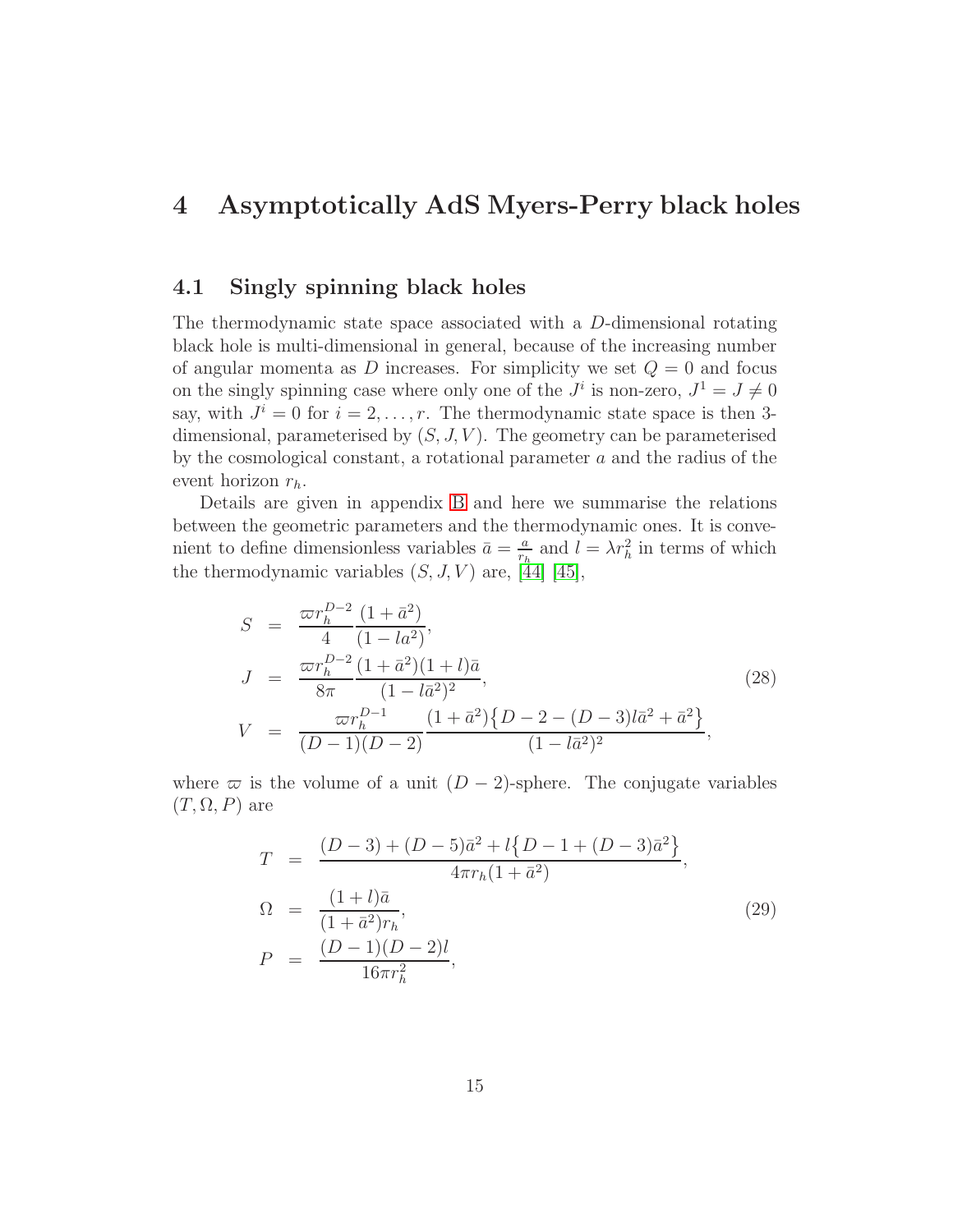### <span id="page-15-0"></span>4 Asymptotically AdS Myers-Perry black holes

#### 4.1 Singly spinning black holes

The thermodynamic state space associated with a D-dimensional rotating black hole is multi-dimensional in general, because of the increasing number of angular momenta as D increases. For simplicity we set  $Q = 0$  and focus on the singly spinning case where only one of the  $J^i$  is non-zero,  $J^1 = J \neq 0$ say, with  $J^i = 0$  for  $i = 2, \ldots, r$ . The thermodynamic state space is then 3dimensional, parameterised by  $(S, J, V)$ . The geometry can be parameterised by the cosmological constant, a rotational parameter  $a$  and the radius of the event horizon  $r_h$ .

Details are given in appendix [B](#page-26-0) and here we summarise the relations between the geometric parameters and the thermodynamic ones. It is convenient to define dimensionless variables  $\bar{a} = \frac{a}{r_a}$  $\frac{a}{r_h}$  and  $l = \lambda r_h^2$  in terms of which the thermodynamic variables  $(S, J, V)$  are, [\[44\]](#page-34-2) [\[45\]](#page-34-3),

<span id="page-15-1"></span>
$$
S = \frac{\varpi r_h^{D-2}}{4} \frac{(1 + \bar{a}^2)}{(1 - l a^2)},
$$
  
\n
$$
J = \frac{\varpi r_h^{D-2}}{8\pi} \frac{(1 + \bar{a}^2)(1 + l)\bar{a}}{(1 - l\bar{a}^2)^2},
$$
  
\n
$$
V = \frac{\varpi r_h^{D-1}}{(D-1)(D-2)} \frac{(1 + \bar{a}^2)\{D - 2 - (D-3)l\bar{a}^2 + \bar{a}^2\}}{(1 - l\bar{a}^2)^2},
$$
\n(28)

where  $\varpi$  is the volume of a unit  $(D-2)$ -sphere. The conjugate variables  $(T, \Omega, P)$  are

<span id="page-15-2"></span>
$$
T = \frac{(D-3) + (D-5)\bar{a}^2 + l\{D-1 + (D-3)\bar{a}^2\}}{4\pi r_h(1+\bar{a}^2)},
$$
  
\n
$$
\Omega = \frac{(1+l)\bar{a}}{(1+\bar{a}^2)r_h},
$$
  
\n
$$
P = \frac{(D-1)(D-2)l}{16\pi r_h^2},
$$
\n(29)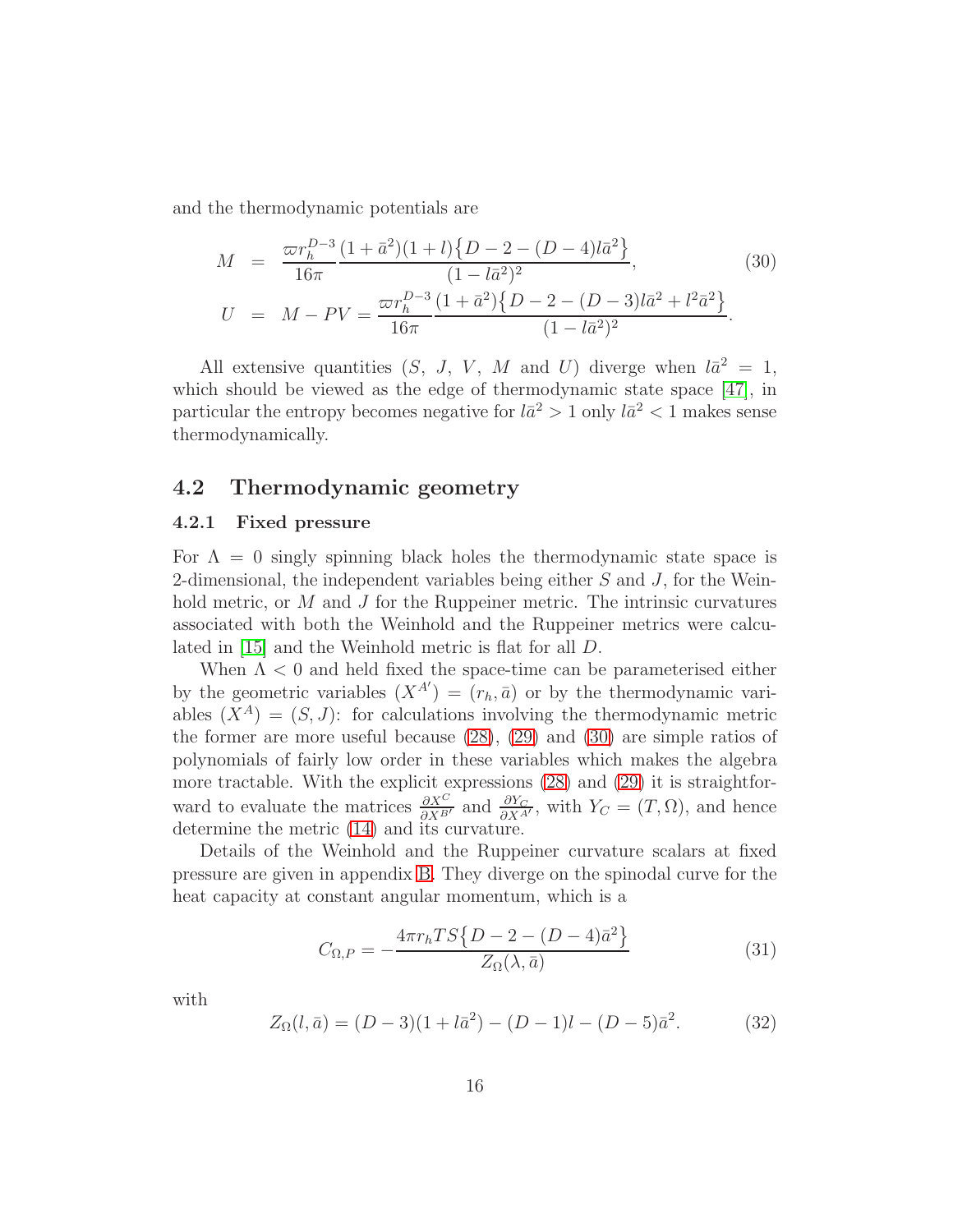and the thermodynamic potentials are

<span id="page-16-0"></span>
$$
M = \frac{\varpi r_h^{D-3} (1 + \bar{a}^2)(1 + l) \{D - 2 - (D - 4)l\bar{a}^2\}}{16\pi (1 - l\bar{a}^2)^2},
$$
(30)  

$$
U = M - PV = \frac{\varpi r_h^{D-3} (1 + \bar{a}^2) \{D - 2 - (D - 3)l\bar{a}^2 + l^2\bar{a}^2\}}{16\pi (1 - l\bar{a}^2)^2}.
$$

All extensive quantities  $(S, J, V, M \text{ and } U)$  diverge when  $l\bar{a}^2 = 1$ , which should be viewed as the edge of thermodynamic state space [\[47\]](#page-34-4), in particular the entropy becomes negative for  $l\bar{a}^2 > 1$  only  $l\bar{a}^2 < 1$  makes sense thermodynamically.

#### 4.2 Thermodynamic geometry

#### 4.2.1 Fixed pressure

For  $\Lambda = 0$  singly spinning black holes the thermodynamic state space is 2-dimensional, the independent variables being either  $S$  and  $J$ , for the Weinhold metric, or  $M$  and  $J$  for the Ruppeiner metric. The intrinsic curvatures associated with both the Weinhold and the Ruppeiner metrics were calculated in [\[15\]](#page-32-2) and the Weinhold metric is flat for all D.

When  $\Lambda < 0$  and held fixed the space-time can be parameterised either by the geometric variables  $(X^{A'}) = (r_h, \bar{a})$  or by the thermodynamic variables  $(X^A) = (S, J)$ : for calculations involving the thermodynamic metric the former are more useful because [\(28\)](#page-15-1), [\(29\)](#page-15-2) and [\(30\)](#page-16-0) are simple ratios of polynomials of fairly low order in these variables which makes the algebra more tractable. With the explicit expressions [\(28\)](#page-15-1) and [\(29\)](#page-15-2) it is straightforward to evaluate the matrices  $\frac{\partial X^C}{\partial X^{B'}}$  and  $\frac{\partial Y_C}{\partial X^{A'}}$ , with  $Y_C = (T, \Omega)$ , and hence determine the metric [\(14\)](#page-9-1) and its curvature.

Details of the Weinhold and the Ruppeiner curvature scalars at fixed pressure are given in appendix [B.](#page-26-0) They diverge on the spinodal curve for the heat capacity at constant angular momentum, which is a

<span id="page-16-1"></span>
$$
C_{\Omega,P} = -\frac{4\pi r_h TS\{D-2 - (D-4)\bar{a}^2\}}{Z_{\Omega}(\lambda,\bar{a})}
$$
(31)

with

<span id="page-16-2"></span>
$$
Z_{\Omega}(l,\bar{a}) = (D-3)(1+l\bar{a}^2) - (D-1)l - (D-5)\bar{a}^2.
$$
 (32)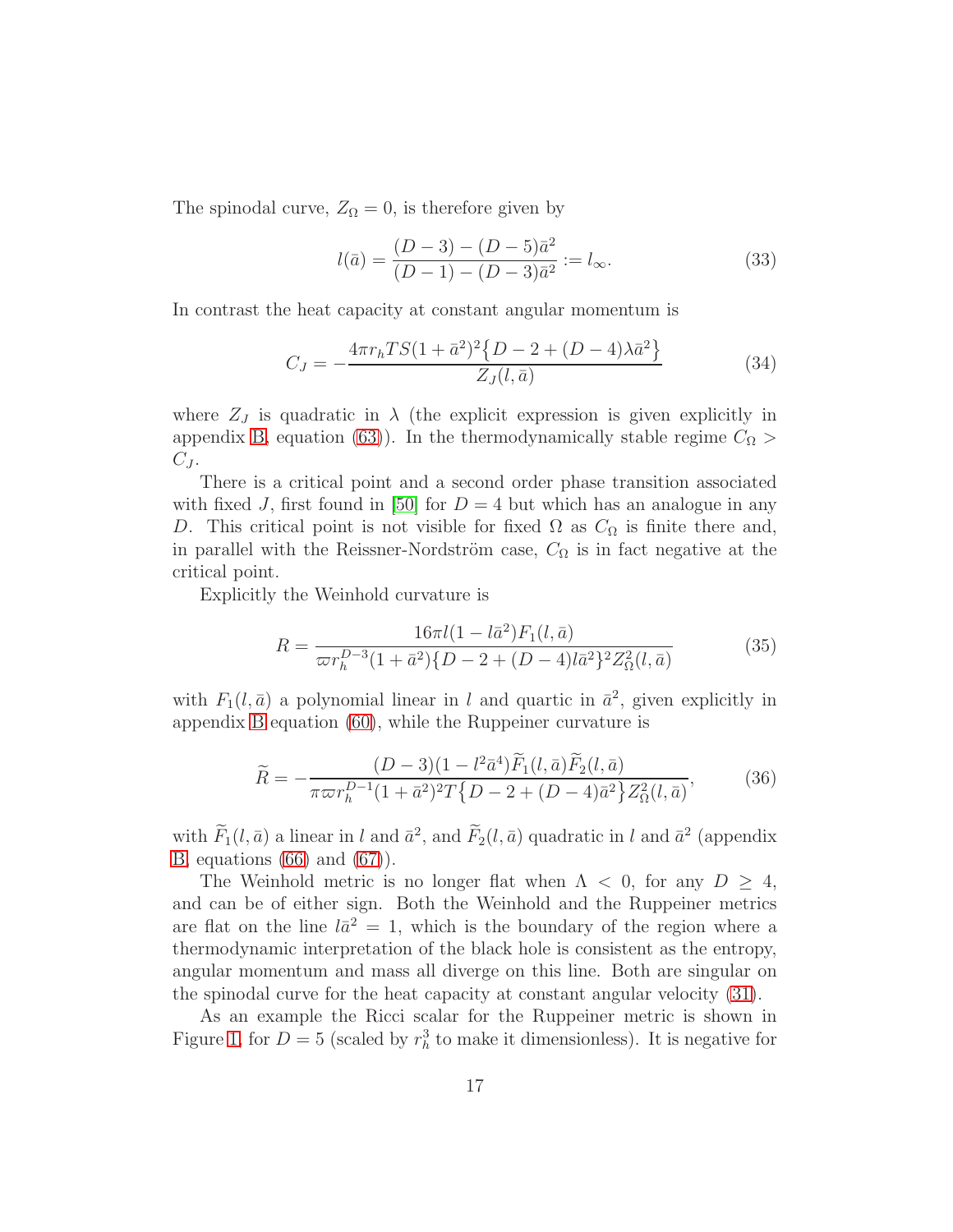The spinodal curve,  $Z_{\Omega} = 0$ , is therefore given by

<span id="page-17-0"></span>
$$
l(\bar{a}) = \frac{(D-3) - (D-5)\bar{a}^2}{(D-1) - (D-3)\bar{a}^2} := l_{\infty}.
$$
 (33)

In contrast the heat capacity at constant angular momentum is

$$
C_J = -\frac{4\pi r_h TS(1+\bar{a}^2)^2 \{D-2+(D-4)\lambda \bar{a}^2\}}{Z_J(l,\bar{a})}
$$
(34)

where  $Z_J$  is quadratic in  $\lambda$  (the explicit expression is given explicitly in appendix [B,](#page-26-0) equation (63)). In the thermodynamically stable regime  $C_{\Omega}$  $C_J$ .

There is a critical point and a second order phase transition associated with fixed J, first found in [\[50\]](#page-34-5) for  $D = 4$  but which has an analogue in any D. This critical point is not visible for fixed  $\Omega$  as  $C_{\Omega}$  is finite there and, in parallel with the Reissner-Nordström case,  $C_{\Omega}$  is in fact negative at the critical point.

Explicitly the Weinhold curvature is

$$
R = \frac{16\pi l(1 - l\bar{a}^2)F_1(l, \bar{a})}{\varpi r_h^{D-3}(1 + \bar{a}^2)\{D - 2 + (D - 4)l\bar{a}^2\}^2 Z_{\Omega}^2(l, \bar{a})}
$$
(35)

with  $F_1(l, \bar{a})$  a polynomial linear in l and quartic in  $\bar{a}^2$ , given explicitly in appendix [B](#page-26-0) equation [\(60\)](#page-27-0), while the Ruppeiner curvature is

$$
\widetilde{R} = -\frac{(D-3)(1 - l^2 \bar{a}^4) \widetilde{F}_1(l, \bar{a}) \widetilde{F}_2(l, \bar{a})}{\pi \varpi r_h^{D-1} (1 + \bar{a}^2)^2 T \{D - 2 + (D - 4)\bar{a}^2\} Z_{\Omega}^2(l, \bar{a})},\tag{36}
$$

with  $F_1(l, \bar{a})$  a linear in l and  $\bar{a}^2$ , and  $F_2(l, \bar{a})$  quadratic in l and  $\bar{a}^2$  (appendix [B,](#page-26-0) equations [\(66\)](#page-29-0) and [\(67\)](#page-29-0)).

The Weinhold metric is no longer flat when  $\Lambda$  < 0, for any  $D \geq 4$ , and can be of either sign. Both the Weinhold and the Ruppeiner metrics are flat on the line  $l\bar{a}^2 = 1$ , which is the boundary of the region where a thermodynamic interpretation of the black hole is consistent as the entropy, angular momentum and mass all diverge on this line. Both are singular on the spinodal curve for the heat capacity at constant angular velocity [\(31\)](#page-16-1).

As an example the Ricci scalar for the Ruppeiner metric is shown in Figure [1,](#page-18-0) for  $D=5$  (scaled by  $r_h^3$  to make it dimensionless). It is negative for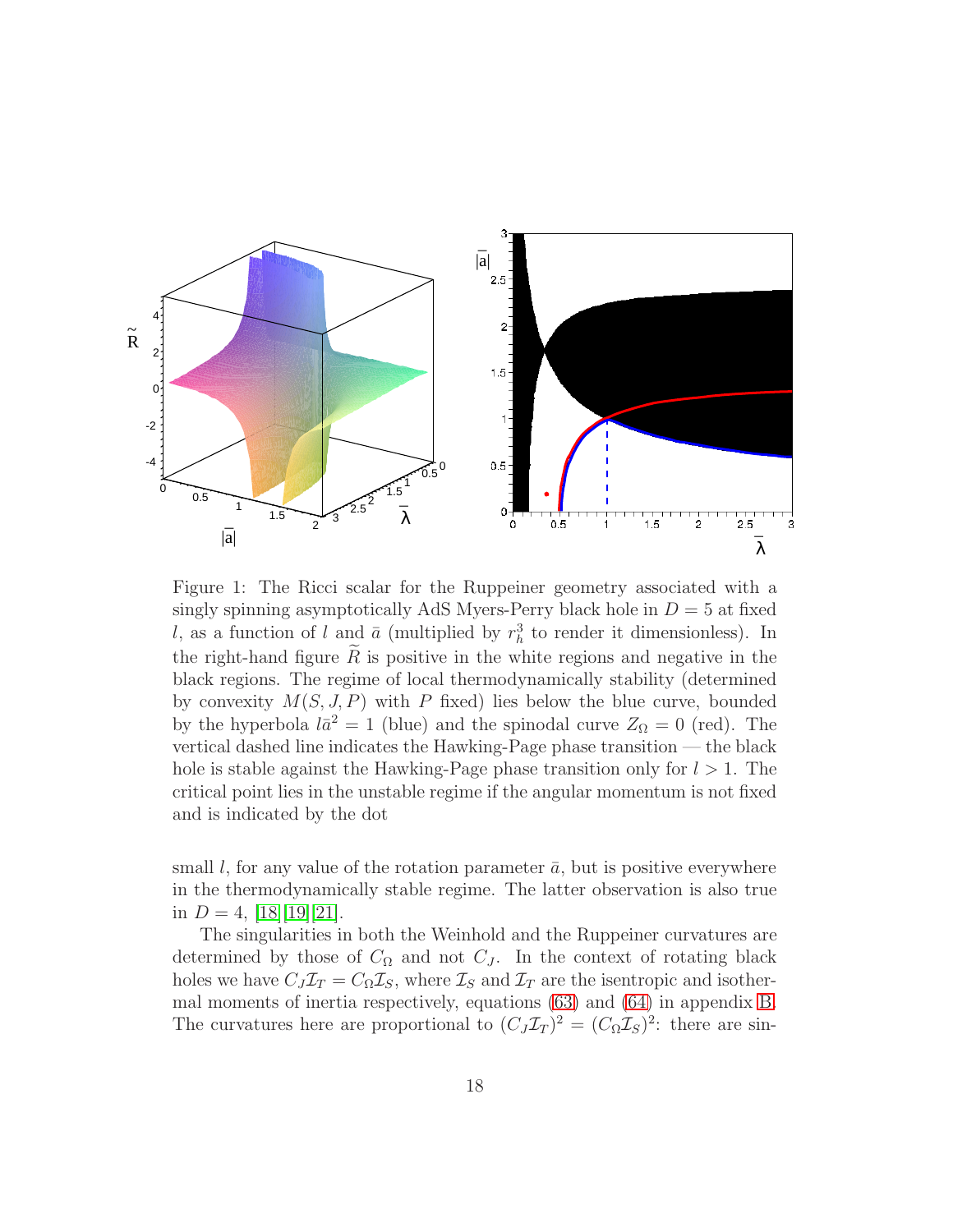

<span id="page-18-0"></span>Figure 1: The Ricci scalar for the Ruppeiner geometry associated with a singly spinning asymptotically AdS Myers-Perry black hole in  $D = 5$  at fixed l, as a function of l and  $\bar{a}$  (multiplied by  $r_h^3$  to render it dimensionless). In the right-hand figure  $\tilde{R}$  is positive in the white regions and negative in the black regions. The regime of local thermodynamically stability (determined by convexity  $M(S, J, P)$  with P fixed) lies below the blue curve, bounded by the hyperbola  $l\bar{a}^2 = 1$  (blue) and the spinodal curve  $Z_{\Omega} = 0$  (red). The vertical dashed line indicates the Hawking-Page phase transition — the black hole is stable against the Hawking-Page phase transition only for  $l > 1$ . The critical point lies in the unstable regime if the angular momentum is not fixed and is indicated by the dot

small l, for any value of the rotation parameter  $\bar{a}$ , but is positive everywhere in the thermodynamically stable regime. The latter observation is also true in  $D = 4$ ,  $|18||19||21|$ .

The singularities in both the Weinhold and the Ruppeiner curvatures are determined by those of  $C_{\Omega}$  and not  $C_{J}$ . In the context of rotating black holes we have  $C_J \mathcal{I}_T = C_\Omega \mathcal{I}_S$ , where  $\mathcal{I}_S$  and  $\mathcal{I}_T$  are the isentropic and isothermal moments of inertia respectively, equations [\(63\)](#page-28-0) and [\(64\)](#page-28-1) in appendix [B.](#page-26-0) The curvatures here are proportional to  $(C_J \mathcal{I}_T)^2 = (C_\Omega \mathcal{I}_S)^2$ : there are sin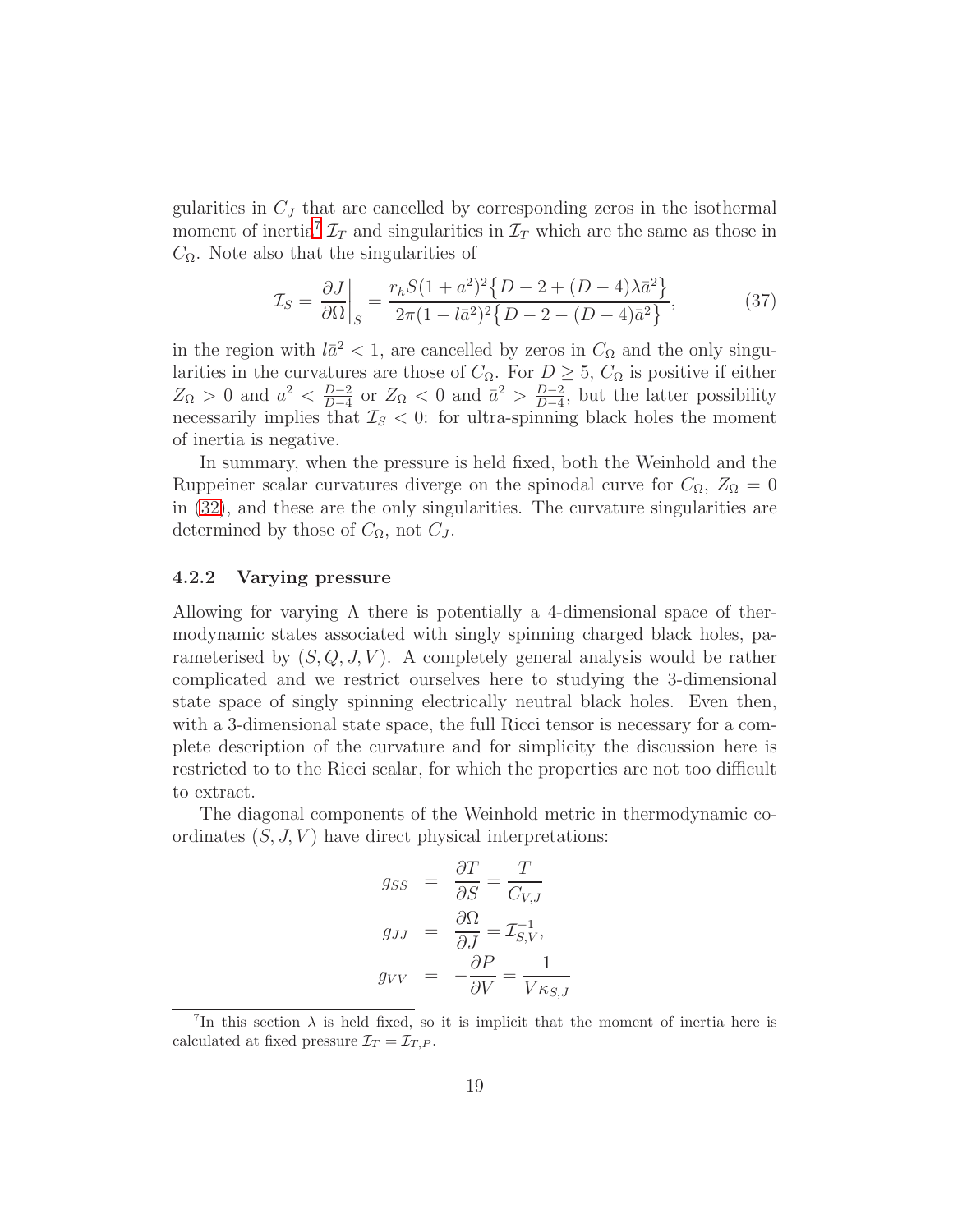gularities in  $C_J$  that are cancelled by corresponding zeros in the isothermal moment of inertia<sup>[7](#page-19-0)</sup>  $\mathcal{I}_T$  and singularities in  $\mathcal{I}_T$  which are the same as those in  $C_{\Omega}$ . Note also that the singularities of

$$
\mathcal{I}_S = \frac{\partial J}{\partial \Omega} \bigg|_S = \frac{r_h S (1 + a^2)^2 \{ D - 2 + (D - 4)\lambda \bar{a}^2 \}}{2\pi (1 - l\bar{a}^2)^2 \{ D - 2 - (D - 4)\bar{a}^2 \}},\tag{37}
$$

in the region with  $l\bar{a}^2 < 1$ , are cancelled by zeros in  $C_{\Omega}$  and the only singularities in the curvatures are those of  $C_{\Omega}$ . For  $D \geq 5$ ,  $C_{\Omega}$  is positive if either  $Z_{\Omega} > 0$  and  $a^2 < \frac{D-2}{D-4}$  $\frac{D-2}{D-4}$  or  $Z_{\Omega}$  < 0 and  $\bar{a}^2 > \frac{D-2}{D-4}$  $\frac{D-2}{D-4}$ , but the latter possibility necessarily implies that  $\mathcal{I}_S < 0$ : for ultra-spinning black holes the moment of inertia is negative.

In summary, when the pressure is held fixed, both the Weinhold and the Ruppeiner scalar curvatures diverge on the spinodal curve for  $C_{\Omega}$ ,  $Z_{\Omega} = 0$ in [\(32\)](#page-16-2), and these are the only singularities. The curvature singularities are determined by those of  $C_{\Omega}$ , not  $C_J$ .

#### 4.2.2 Varying pressure

Allowing for varying  $\Lambda$  there is potentially a 4-dimensional space of thermodynamic states associated with singly spinning charged black holes, parameterised by  $(S, Q, J, V)$ . A completely general analysis would be rather complicated and we restrict ourselves here to studying the 3-dimensional state space of singly spinning electrically neutral black holes. Even then, with a 3-dimensional state space, the full Ricci tensor is necessary for a complete description of the curvature and for simplicity the discussion here is restricted to to the Ricci scalar, for which the properties are not too difficult to extract.

The diagonal components of the Weinhold metric in thermodynamic coordinates  $(S, J, V)$  have direct physical interpretations:

$$
g_{SS} = \frac{\partial T}{\partial S} = \frac{T}{C_{V,J}}
$$
  

$$
g_{JJ} = \frac{\partial \Omega}{\partial J} = \mathcal{I}_{S,V}^{-1},
$$
  

$$
g_{VV} = -\frac{\partial P}{\partial V} = \frac{1}{V_{KS,J}}
$$

<span id="page-19-0"></span><sup>&</sup>lt;sup>7</sup>In this section  $\lambda$  is held fixed, so it is implicit that the moment of inertia here is calculated at fixed pressure  $\mathcal{I}_T = \mathcal{I}_{T,P}$ .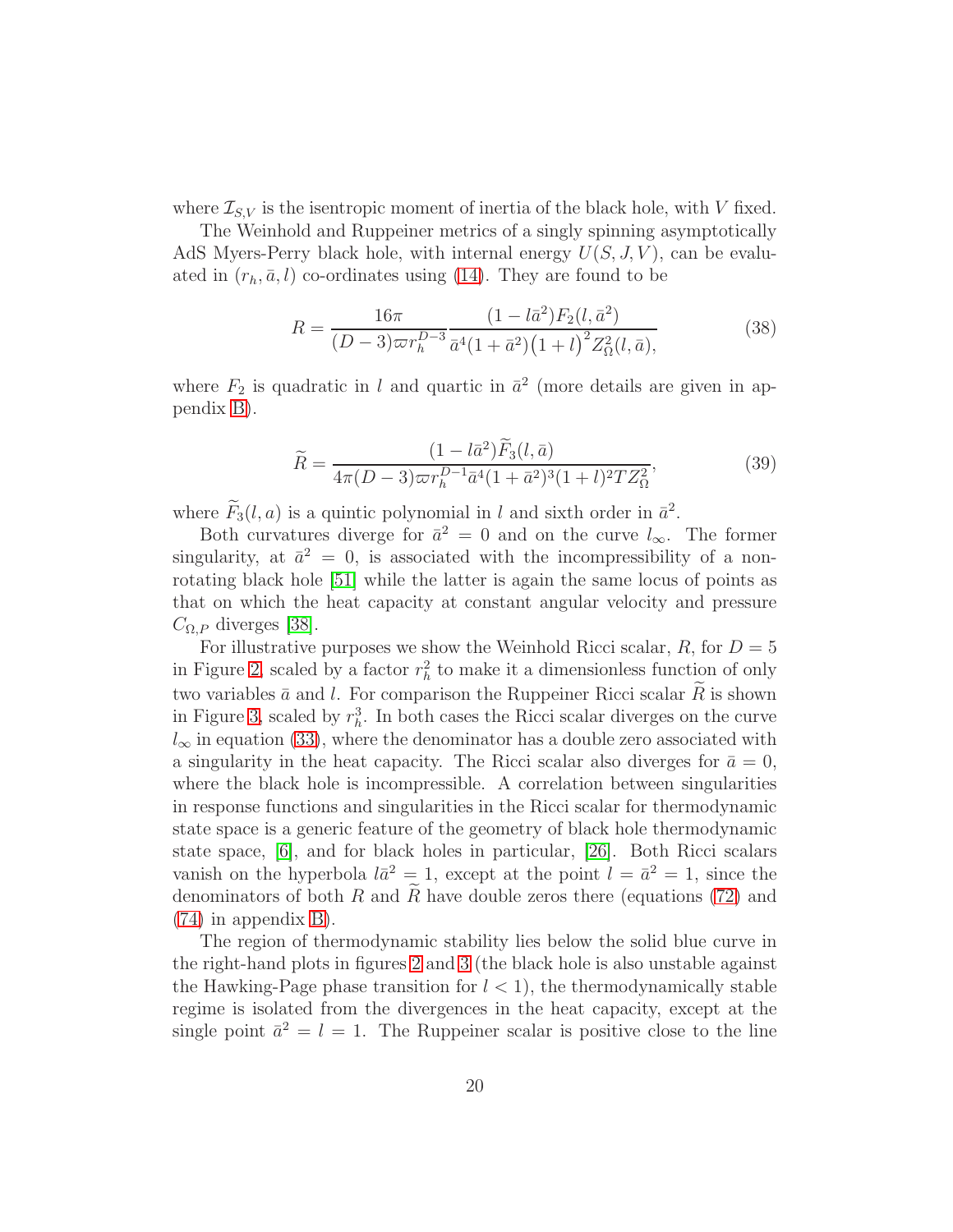where  $\mathcal{I}_{S,V}$  is the isentropic moment of inertia of the black hole, with V fixed.

The Weinhold and Ruppeiner metrics of a singly spinning asymptotically AdS Myers-Perry black hole, with internal energy  $U(S, J, V)$ , can be evaluated in  $(r_h, \bar{a}, l)$  co-ordinates using [\(14\)](#page-9-1). They are found to be

$$
R = \frac{16\pi}{(D-3)\varpi r_h^{D-3}} \frac{(1 - l\bar{a}^2)F_2(l, \bar{a}^2)}{\bar{a}^4(1 + \bar{a}^2)(1 + l)^2 Z_{\Omega}^2(l, \bar{a})},
$$
(38)

where  $F_2$  is quadratic in l and quartic in  $\bar{a}^2$  (more details are given in appendix [B\)](#page-26-0).

$$
\widetilde{R} = \frac{(1 - l\bar{a}^2)\widetilde{F}_3(l, \bar{a})}{4\pi (D - 3)\varpi r_h^{D-1} \bar{a}^4 (1 + \bar{a}^2)^3 (1 + l)^2 T Z_\Omega^2},\tag{39}
$$

where  $F_3(l, a)$  is a quintic polynomial in l and sixth order in  $\bar{a}^2$ .

Both curvatures diverge for  $\bar{a}^2 = 0$  and on the curve  $l_{\infty}$ . The former singularity, at  $\bar{a}^2 = 0$ , is associated with the incompressibility of a nonrotating black hole [\[51\]](#page-34-6) while the latter is again the same locus of points as that on which the heat capacity at constant angular velocity and pressure  $C_{\Omega,P}$  diverges [\[38\]](#page-33-8).

For illustrative purposes we show the Weinhold Ricci scalar,  $R$ , for  $D = 5$ in Figure [2,](#page-21-1) scaled by a factor  $r_h^2$  to make it a dimensionless function of only two variables  $\bar{a}$  and l. For comparison the Ruppeiner Ricci scalar  $R$  is shown in Figure [3,](#page-22-0) scaled by  $r_h^3$ . In both cases the Ricci scalar diverges on the curve  $l_{\infty}$  in equation [\(33\)](#page-17-0), where the denominator has a double zero associated with a singularity in the heat capacity. The Ricci scalar also diverges for  $\bar{a} = 0$ , where the black hole is incompressible. A correlation between singularities in response functions and singularities in the Ricci scalar for thermodynamic state space is a generic feature of the geometry of black hole thermodynamic state space, [\[6\]](#page-31-5), and for black holes in particular, [\[26\]](#page-33-0). Both Ricci scalars vanish on the hyperbola  $l\bar{a}^2 = 1$ , except at the point  $l = \bar{a}^2 = 1$ , since the denominators of both R and  $\widetilde{R}$  have double zeros there (equations [\(72\)](#page-30-0) and [\(74\)](#page-31-9) in appendix [B\)](#page-26-0).

The region of thermodynamic stability lies below the solid blue curve in the right-hand plots in figures [2](#page-21-1) and [3](#page-22-0) (the black hole is also unstable against the Hawking-Page phase transition for  $l < 1$ , the thermodynamically stable regime is isolated from the divergences in the heat capacity, except at the single point  $\bar{a}^2 = l = 1$ . The Ruppeiner scalar is positive close to the line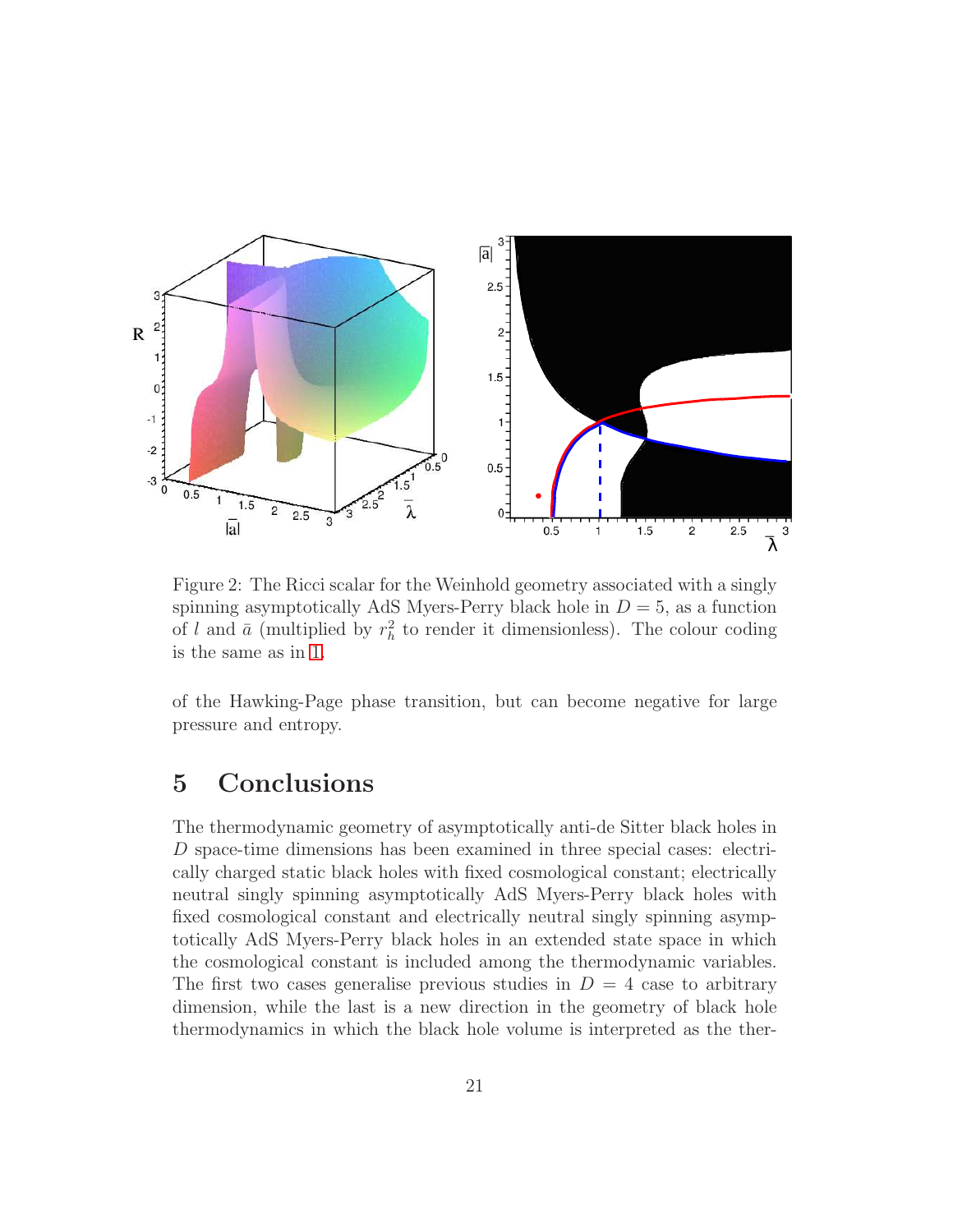

<span id="page-21-1"></span>Figure 2: The Ricci scalar for the Weinhold geometry associated with a singly spinning asymptotically AdS Myers-Perry black hole in  $D = 5$ , as a function of l and  $\bar{a}$  (multiplied by  $r_h^2$  to render it dimensionless). The colour coding is the same as in [1.](#page-18-0)

of the Hawking-Page phase transition, but can become negative for large pressure and entropy.

## <span id="page-21-0"></span>5 Conclusions

The thermodynamic geometry of asymptotically anti-de Sitter black holes in D space-time dimensions has been examined in three special cases: electrically charged static black holes with fixed cosmological constant; electrically neutral singly spinning asymptotically AdS Myers-Perry black holes with fixed cosmological constant and electrically neutral singly spinning asymptotically AdS Myers-Perry black holes in an extended state space in which the cosmological constant is included among the thermodynamic variables. The first two cases generalise previous studies in  $D = 4$  case to arbitrary dimension, while the last is a new direction in the geometry of black hole thermodynamics in which the black hole volume is interpreted as the ther-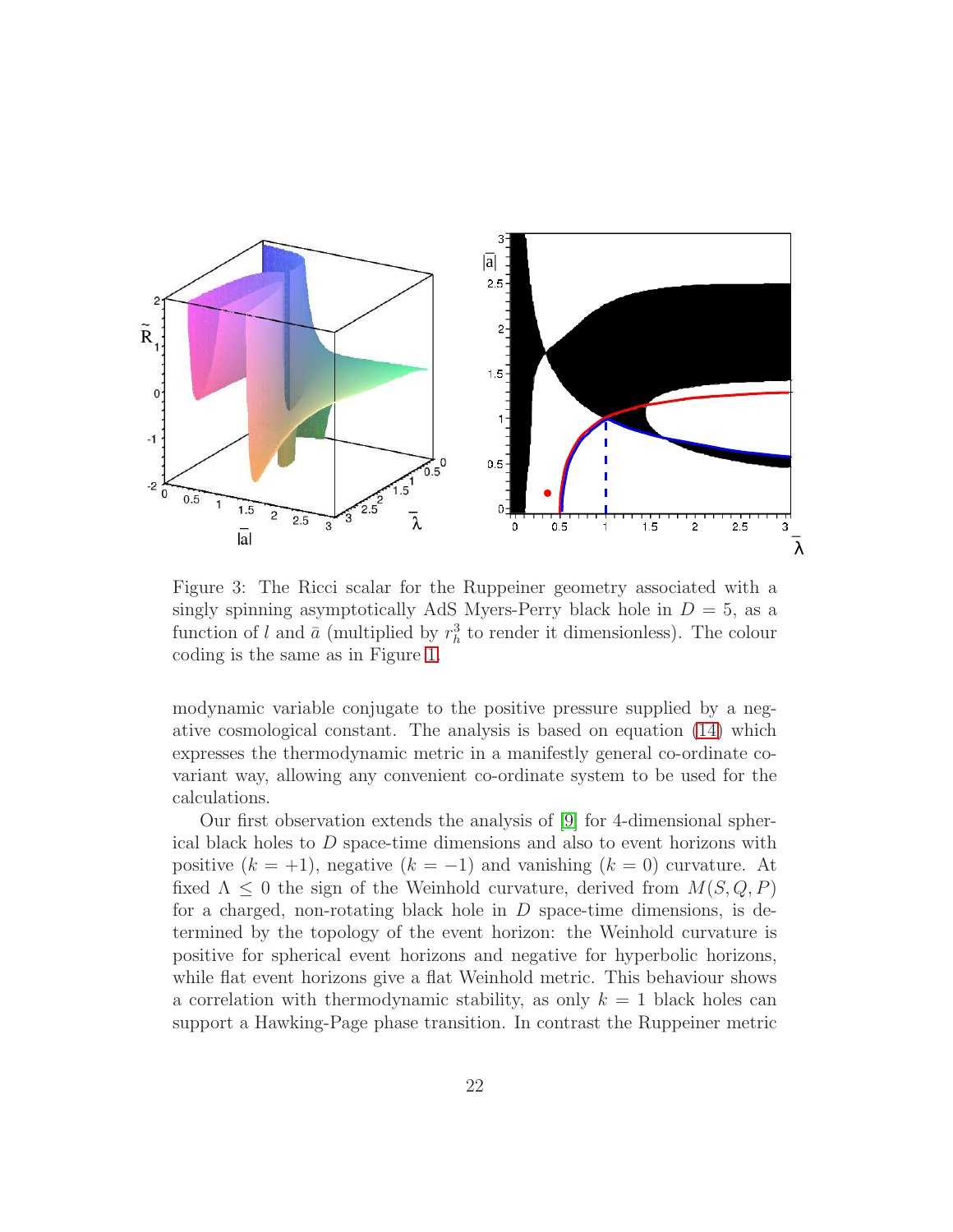

<span id="page-22-0"></span>Figure 3: The Ricci scalar for the Ruppeiner geometry associated with a singly spinning asymptotically AdS Myers-Perry black hole in  $D = 5$ , as a function of l and  $\bar{a}$  (multiplied by  $r_h^3$  to render it dimensionless). The colour coding is the same as in Figure [1.](#page-18-0)

modynamic variable conjugate to the positive pressure supplied by a negative cosmological constant. The analysis is based on equation [\(14\)](#page-9-1) which expresses the thermodynamic metric in a manifestly general co-ordinate covariant way, allowing any convenient co-ordinate system to be used for the calculations.

Our first observation extends the analysis of [\[9\]](#page-31-8) for 4-dimensional spherical black holes to D space-time dimensions and also to event horizons with positive  $(k = +1)$ , negative  $(k = -1)$  and vanishing  $(k = 0)$  curvature. At fixed  $\Lambda \leq 0$  the sign of the Weinhold curvature, derived from  $M(S, Q, P)$ for a charged, non-rotating black hole in  $D$  space-time dimensions, is determined by the topology of the event horizon: the Weinhold curvature is positive for spherical event horizons and negative for hyperbolic horizons, while flat event horizons give a flat Weinhold metric. This behaviour shows a correlation with thermodynamic stability, as only  $k = 1$  black holes can support a Hawking-Page phase transition. In contrast the Ruppeiner metric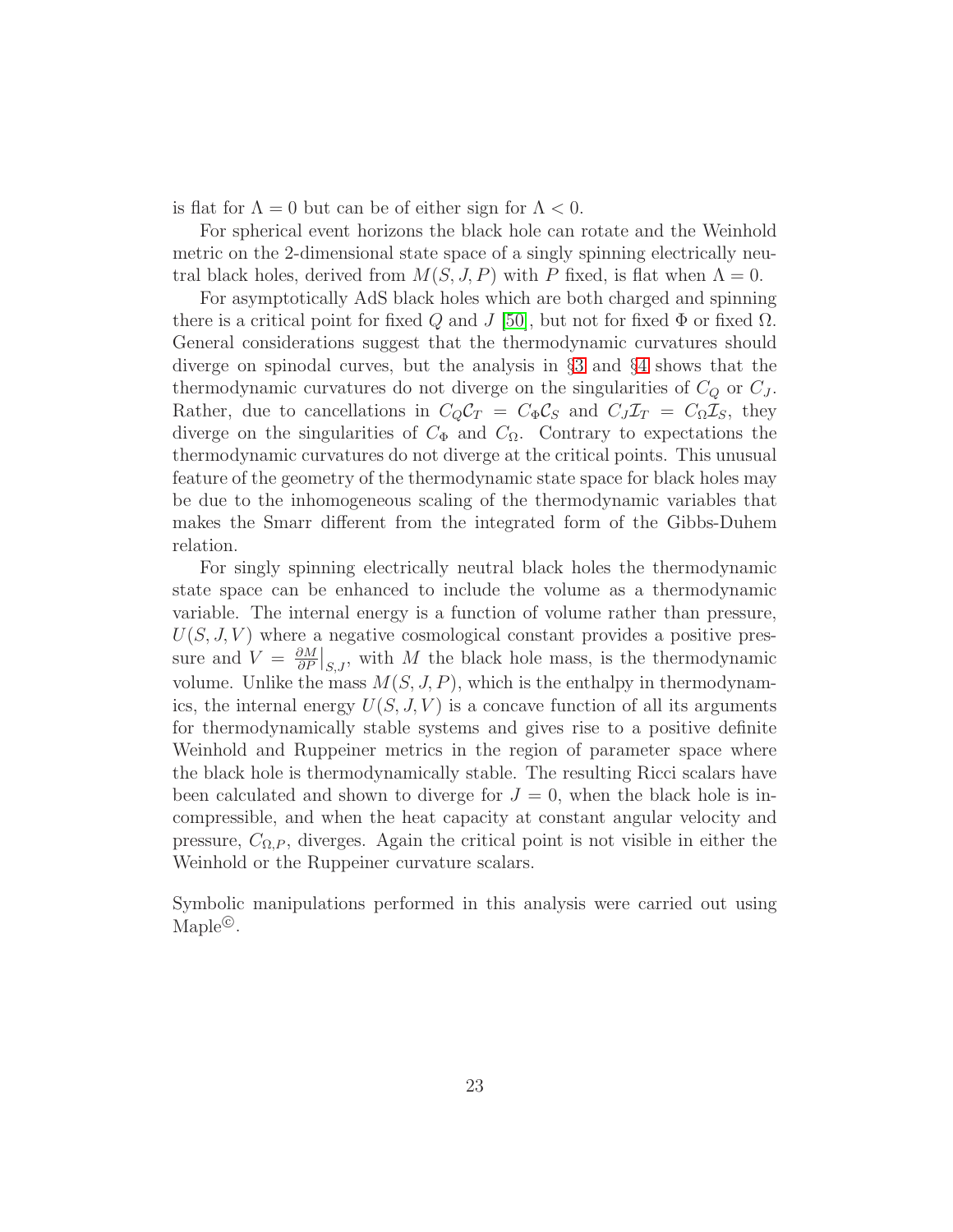is flat for  $\Lambda = 0$  but can be of either sign for  $\Lambda < 0$ .

For spherical event horizons the black hole can rotate and the Weinhold metric on the 2-dimensional state space of a singly spinning electrically neutral black holes, derived from  $M(S, J, P)$  with P fixed, is flat when  $\Lambda = 0$ .

For asymptotically AdS black holes which are both charged and spinning there is a critical point for fixed Q and J [\[50\]](#page-34-5), but not for fixed  $\Phi$  or fixed  $\Omega$ . General considerations suggest that the thermodynamic curvatures should diverge on spinodal curves, but the analysis in §[3](#page-10-0) and §[4](#page-15-0) shows that the thermodynamic curvatures do not diverge on the singularities of  $C_Q$  or  $C_J$ . Rather, due to cancellations in  $C_Q C_T = C_{\Phi} C_S$  and  $C_J \mathcal{I}_T = C_{\Omega} \mathcal{I}_S$ , they diverge on the singularities of  $C_{\Phi}$  and  $C_{\Omega}$ . Contrary to expectations the thermodynamic curvatures do not diverge at the critical points. This unusual feature of the geometry of the thermodynamic state space for black holes may be due to the inhomogeneous scaling of the thermodynamic variables that makes the Smarr different from the integrated form of the Gibbs-Duhem relation.

For singly spinning electrically neutral black holes the thermodynamic state space can be enhanced to include the volume as a thermodynamic variable. The internal energy is a function of volume rather than pressure,  $U(S, J, V)$  where a negative cosmological constant provides a positive pressure and  $V = \frac{\partial M}{\partial P}$  $\frac{\partial M}{\partial P}\big|_{S,J}$ , with M the black hole mass, is the thermodynamic volume. Unlike the mass  $M(S, J, P)$ , which is the enthalpy in thermodynamics, the internal energy  $U(S, J, V)$  is a concave function of all its arguments for thermodynamically stable systems and gives rise to a positive definite Weinhold and Ruppeiner metrics in the region of parameter space where the black hole is thermodynamically stable. The resulting Ricci scalars have been calculated and shown to diverge for  $J = 0$ , when the black hole is incompressible, and when the heat capacity at constant angular velocity and pressure,  $C_{\Omega,P}$ , diverges. Again the critical point is not visible in either the Weinhold or the Ruppeiner curvature scalars.

Symbolic manipulations performed in this analysis were carried out using Maple<sup>©</sup>.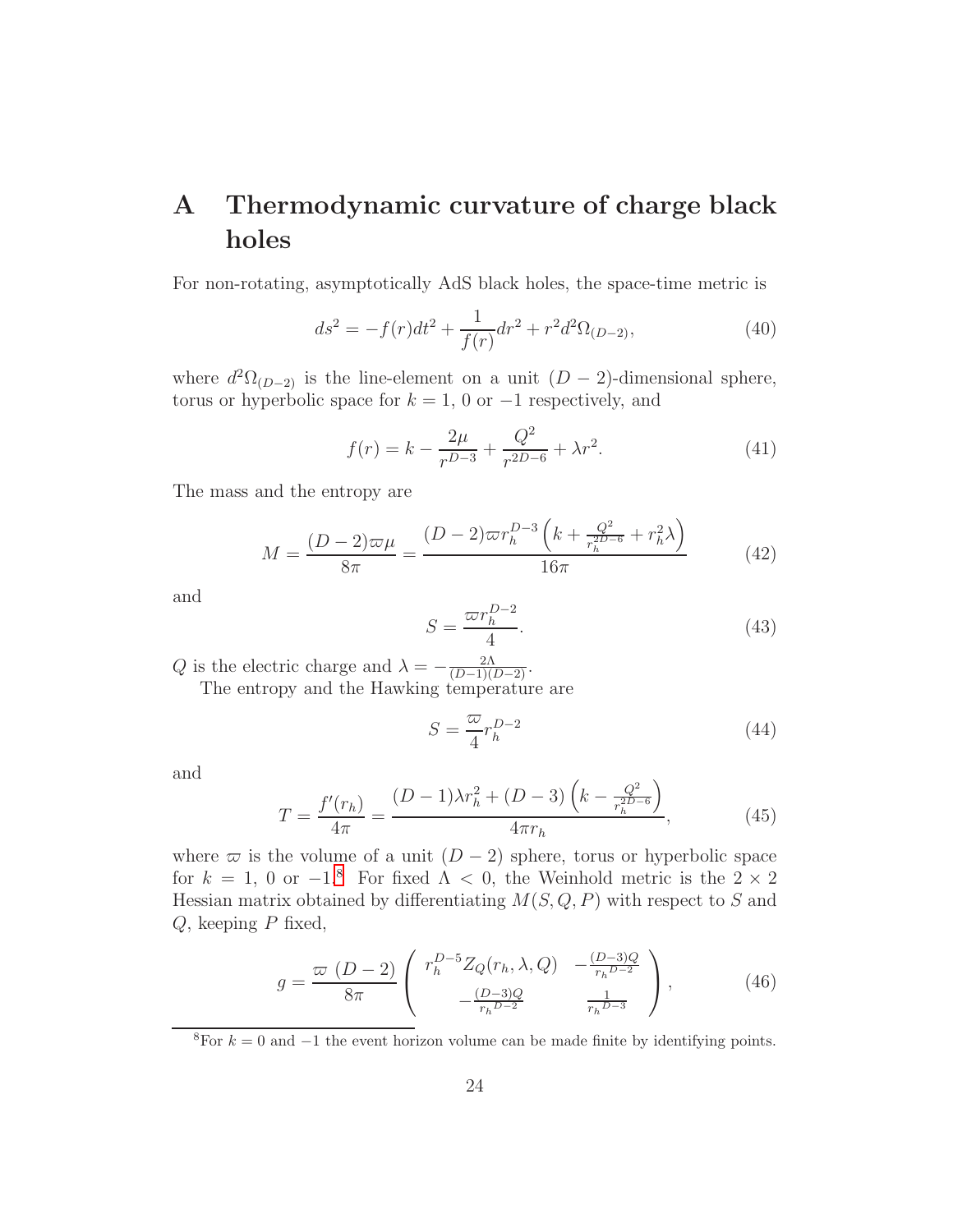## <span id="page-24-0"></span>A Thermodynamic curvature of charge black holes

For non-rotating, asymptotically AdS black holes, the space-time metric is

$$
ds^{2} = -f(r)dt^{2} + \frac{1}{f(r)}dr^{2} + r^{2}d^{2}\Omega_{(D-2)},
$$
\t(40)

where  $d^2\Omega_{(D-2)}$  is the line-element on a unit  $(D-2)$ -dimensional sphere, torus or hyperbolic space for  $k = 1, 0$  or  $-1$  respectively, and

$$
f(r) = k - \frac{2\mu}{r^{D-3}} + \frac{Q^2}{r^{2D-6}} + \lambda r^2.
$$
 (41)

The mass and the entropy are

$$
M = \frac{(D-2)\varpi\mu}{8\pi} = \frac{(D-2)\varpi r_h^{D-3} \left(k + \frac{Q^2}{r_h^{2D-6}} + r_h^2 \lambda\right)}{16\pi} \tag{42}
$$

and

$$
S = \frac{\varpi r_h^{D-2}}{4}.\tag{43}
$$

Q is the electric charge and  $\lambda = -\frac{2\Lambda}{(D-1)(D-2)}$ . The entropy and the Hawking temperature are

<span id="page-24-2"></span>
$$
S = \frac{\varpi}{4} r_h^{D-2} \tag{44}
$$

and

$$
T = \frac{f'(r_h)}{4\pi} = \frac{(D-1)\lambda r_h^2 + (D-3)\left(k - \frac{Q^2}{r_h^{2D-6}}\right)}{4\pi r_h},\tag{45}
$$

where  $\varpi$  is the volume of a unit  $(D-2)$  sphere, torus or hyperbolic space for  $k = 1, 0$  or  $-1$ <sup>[8](#page-24-1)</sup>. For fixed  $\Lambda < 0$ , the Weinhold metric is the  $2 \times 2$ Hessian matrix obtained by differentiating  $M(S, Q, P)$  with respect to S and  $Q$ , keeping  $P$  fixed,

$$
g = \frac{\varpi (D-2)}{8\pi} \begin{pmatrix} r_h^{D-5} Z_Q(r_h, \lambda, Q) & -\frac{(D-3)Q}{r_h^{D-2}}\\ -\frac{(D-3)Q}{r_h^{D-2}} & \frac{1}{r_h^{D-3}} \end{pmatrix},
$$
(46)

<span id="page-24-1"></span><sup>8</sup>For  $k = 0$  and  $-1$  the event horizon volume can be made finite by identifying points.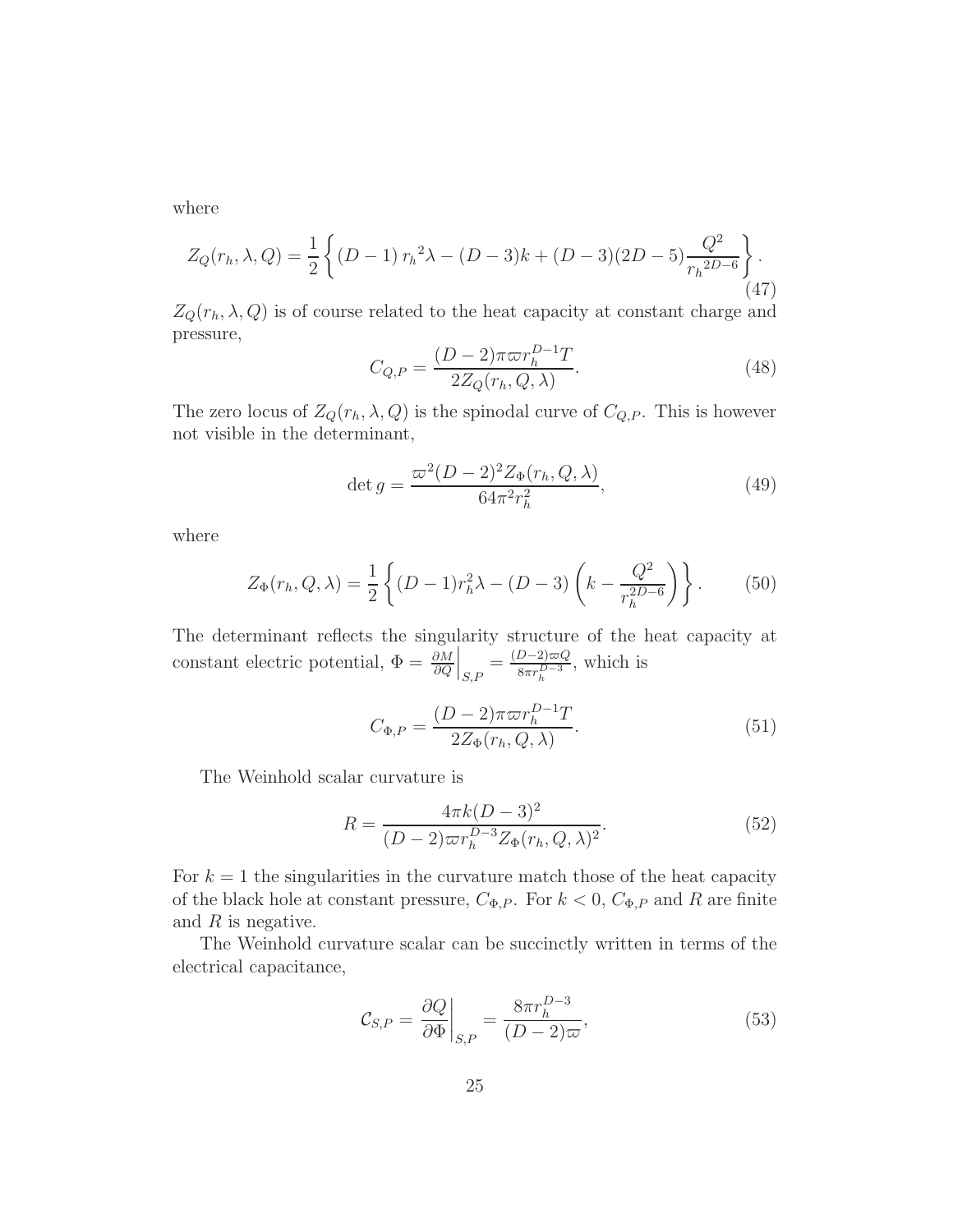where

$$
Z_Q(r_h, \lambda, Q) = \frac{1}{2} \left\{ (D - 1) r_h^2 \lambda - (D - 3)k + (D - 3)(2D - 5) \frac{Q^2}{r_h^{2D - 6}} \right\}.
$$
\n(47)

 $Z_Q(r_h, \lambda, Q)$  is of course related to the heat capacity at constant charge and pressure,

$$
C_{Q,P} = \frac{(D-2)\pi\varpi r_h^{D-1}T}{2Z_Q(r_h, Q, \lambda)}.
$$
\n(48)

The zero locus of  $Z_Q(r_h, \lambda, Q)$  is the spinodal curve of  $C_{Q,P}$ . This is however not visible in the determinant,

$$
\det g = \frac{\varpi^2 (D - 2)^2 Z_{\Phi}(r_h, Q, \lambda)}{64 \pi^2 r_h^2},
$$
\n(49)

where

$$
Z_{\Phi}(r_h, Q, \lambda) = \frac{1}{2} \left\{ (D - 1)r_h^2 \lambda - (D - 3) \left( k - \frac{Q^2}{r_h^{2D - 6}} \right) \right\}.
$$
 (50)

The determinant reflects the singularity structure of the heat capacity at constant electric potential,  $\Phi = \frac{\partial M}{\partial Q}$  $\Big|_{S,P} = \frac{(D-2)\varpi Q}{8\pi r_h^{D-3}}$  $\frac{D-2i\varpi Q}{8\pi r_h^{D-3}}$ , which is

$$
C_{\Phi,P} = \frac{(D-2)\pi\varpi r_h^{D-1}T}{2Z_{\Phi}(r_h, Q, \lambda)}.
$$
\n(51)

The Weinhold scalar curvature is

$$
R = \frac{4\pi k(D-3)^2}{(D-2)\varpi r_h^{D-3} Z_{\Phi}(r_h, Q, \lambda)^2}.
$$
\n(52)

For  $k = 1$  the singularities in the curvature match those of the heat capacity of the black hole at constant pressure,  $C_{\Phi,P}$ . For  $k < 0$ ,  $C_{\Phi,P}$  and R are finite and  $R$  is negative.

The Weinhold curvature scalar can be succinctly written in terms of the electrical capacitance,

$$
\mathcal{C}_{S,P} = \left. \frac{\partial Q}{\partial \Phi} \right|_{S,P} = \frac{8\pi r_h^{D-3}}{(D-2)\varpi},\tag{53}
$$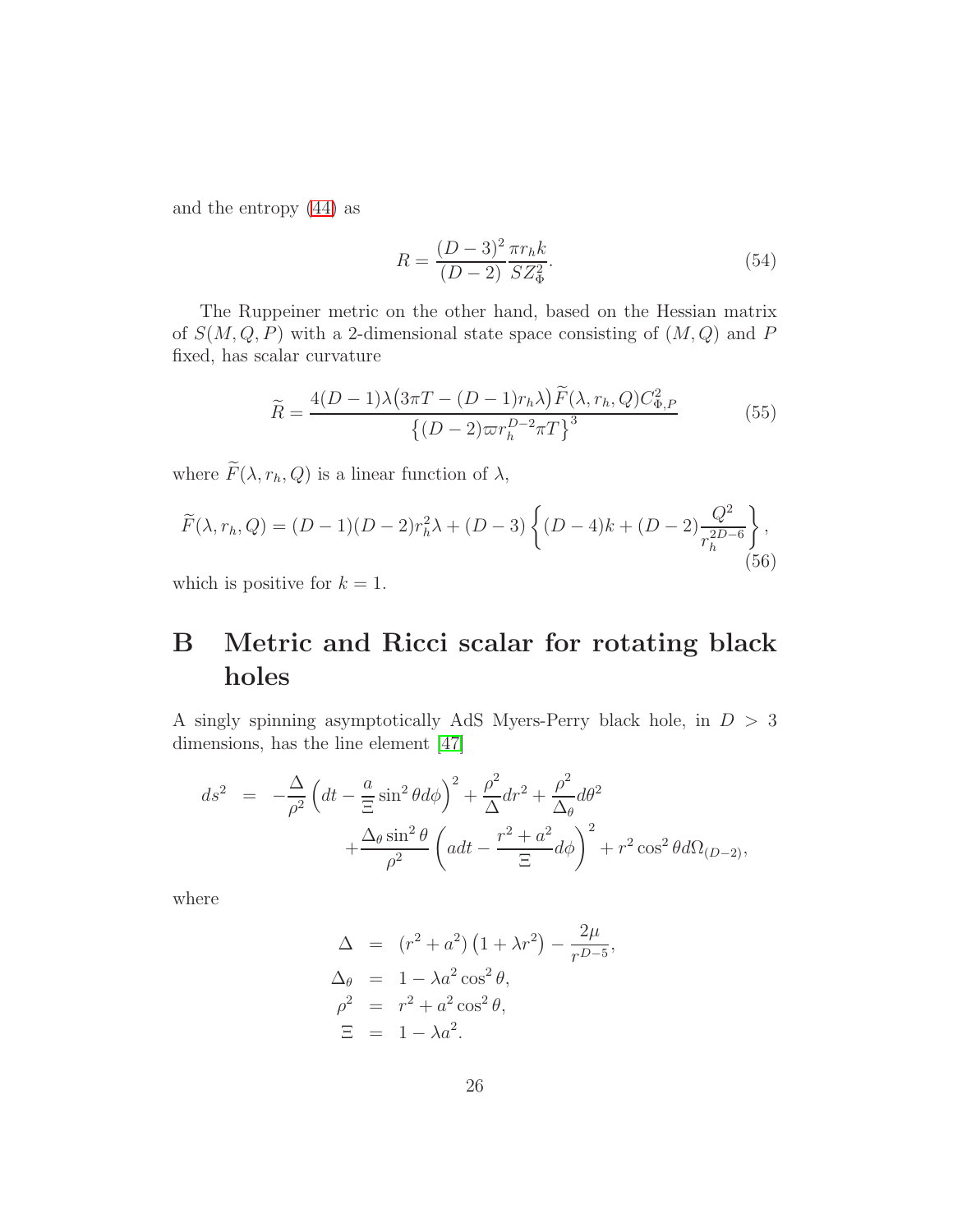and the entropy [\(44\)](#page-24-2) as

$$
R = \frac{(D-3)^2 \pi r_h k}{(D-2) \overline{SZ^2_{\Phi}}}.
$$
\n(54)

The Ruppeiner metric on the other hand, based on the Hessian matrix of  $S(M, Q, P)$  with a 2-dimensional state space consisting of  $(M, Q)$  and P fixed, has scalar curvature

$$
\widetilde{R} = \frac{4(D-1)\lambda \left(3\pi T - (D-1)r_h\lambda\right) \widetilde{F}(\lambda, r_h, Q) C_{\Phi, P}^2}{\left\{(D-2)\varpi r_h^{D-2}\pi T\right\}^3}
$$
(55)

where  $\widetilde{F}(\lambda, r_h, Q)$  is a linear function of  $\lambda$ ,

$$
\widetilde{F}(\lambda, r_h, Q) = (D - 1)(D - 2)r_h^2 \lambda + (D - 3) \left\{ (D - 4)k + (D - 2) \frac{Q^2}{r_h^{2D - 6}} \right\},\tag{56}
$$

<span id="page-26-0"></span>which is positive for  $k = 1$ .

## B Metric and Ricci scalar for rotating black holes

A singly spinning asymptotically AdS Myers-Perry black hole, in  $D\,>\,3$ dimensions, has the line element [\[47\]](#page-34-4)

$$
ds^{2} = -\frac{\Delta}{\rho^{2}} \left( dt - \frac{a}{\Xi} \sin^{2} \theta d\phi \right)^{2} + \frac{\rho^{2}}{\Delta} dr^{2} + \frac{\rho^{2}}{\Delta_{\theta}} d\theta^{2} + \frac{\Delta_{\theta} \sin^{2} \theta}{\rho^{2}} \left( a dt - \frac{r^{2} + a^{2}}{\Xi} d\phi \right)^{2} + r^{2} \cos^{2} \theta d\Omega_{(D-2)},
$$

where

$$
\Delta = (r^2 + a^2) (1 + \lambda r^2) - \frac{2\mu}{r^{D-5}},
$$
  
\n
$$
\Delta_{\theta} = 1 - \lambda a^2 \cos^2{\theta},
$$
  
\n
$$
\rho^2 = r^2 + a^2 \cos^2{\theta},
$$
  
\n
$$
\Xi = 1 - \lambda a^2.
$$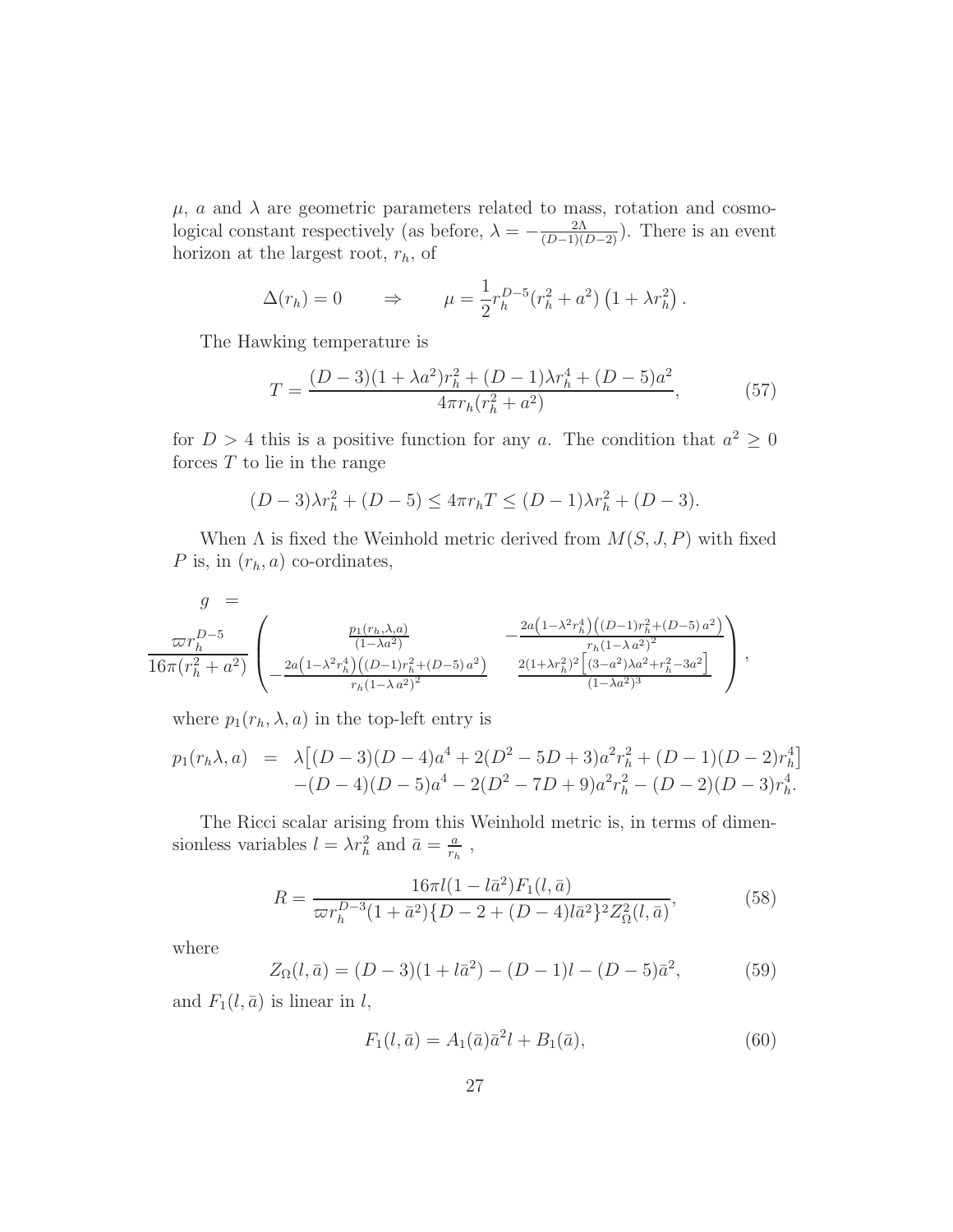$\mu$ , a and  $\lambda$  are geometric parameters related to mass, rotation and cosmological constant respectively (as before,  $\lambda = -\frac{2\Lambda}{(D-1)(D-2)}$ ). There is an event horizon at the largest root,  $r_h$ , of

$$
\Delta(r_h) = 0 \qquad \Rightarrow \qquad \mu = \frac{1}{2} r_h^{D-5} (r_h^2 + a^2) \left( 1 + \lambda r_h^2 \right).
$$

The Hawking temperature is

$$
T = \frac{(D-3)(1+\lambda a^2)r_h^2 + (D-1)\lambda r_h^4 + (D-5)a^2}{4\pi r_h(r_h^2 + a^2)},
$$
(57)

for  $D > 4$  this is a positive function for any a. The condition that  $a^2 \ge 0$ forces  $T$  to lie in the range

$$
(D-3)\lambda r_h^2 + (D-5) \le 4\pi r_h T \le (D-1)\lambda r_h^2 + (D-3).
$$

When  $\Lambda$  is fixed the Weinhold metric derived from  $M(S, J, P)$  with fixed P is, in  $(r_h, a)$  co-ordinates,

$$
g = \frac{\pi r_h^{D-5}}{16\pi (r_h^2 + a^2)} \left( \frac{\frac{p_1(r_h, \lambda, a)}{(1-\lambda a^2)}}{2a(1-\lambda^2 r_h^4)((D-1)r_h^2 + (D-5)a^2)} - \frac{2a(1-\lambda^2 r_h^4)((D-1)r_h^2 + (D-5)a^2)}{r_h(1-\lambda a^2)^2} \right),
$$

where  $p_1(r_h, \lambda, a)$  in the top-left entry is

$$
p_1(r_h\lambda, a) = \lambda \left[ (D-3)(D-4)a^4 + 2(D^2 - 5D + 3)a^2 r_h^2 + (D-1)(D-2)r_h^4 \right] - (D-4)(D-5)a^4 - 2(D^2 - 7D + 9)a^2 r_h^2 - (D-2)(D-3)r_h^4.
$$

The Ricci scalar arising from this Weinhold metric is, in terms of dimensionless variables  $l = \lambda r_h^2$  and  $\bar{a} = \frac{a}{r_h}$  $\frac{a}{r_h}$ ,

$$
R = \frac{16\pi l(1 - l\bar{a}^2)F_1(l, \bar{a})}{\varpi r_h^{D-3}(1 + \bar{a}^2)\{D - 2 + (D - 4)l\bar{a}^2\}^2 Z_{\Omega}^2(l, \bar{a})},\tag{58}
$$

where

$$
Z_{\Omega}(l,\bar{a}) = (D-3)(1+l\bar{a}^2) - (D-1)l - (D-5)\bar{a}^2,
$$
 (59)

and  $F_1(l, \bar{a})$  is linear in l,

<span id="page-27-0"></span>
$$
F_1(l, \bar{a}) = A_1(\bar{a})\bar{a}^2 l + B_1(\bar{a}), \tag{60}
$$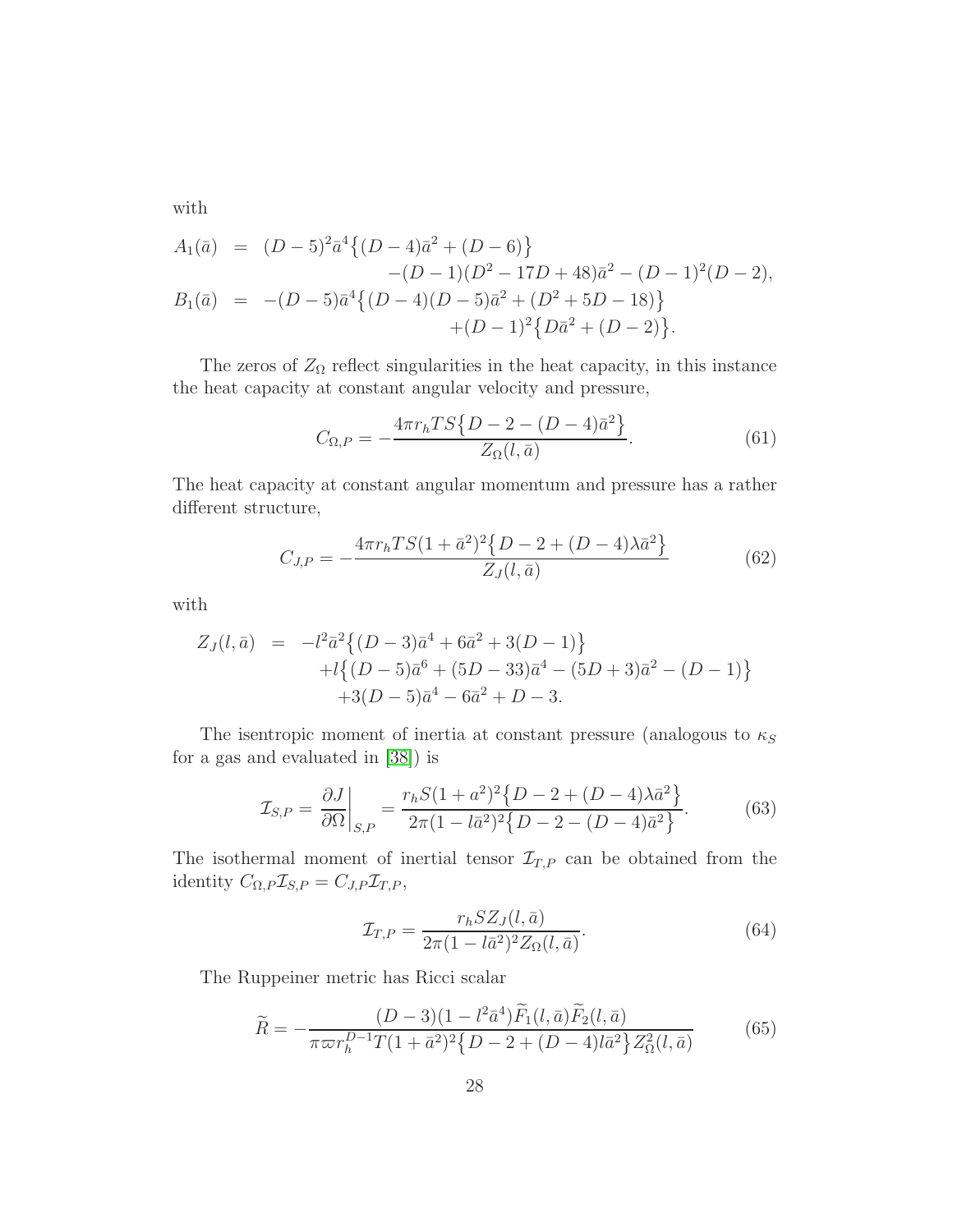with

$$
A_1(\bar{a}) = (D-5)^2 \bar{a}^4 \{ (D-4)\bar{a}^2 + (D-6) \} - (D-1)(D^2 - 17D + 48)\bar{a}^2 - (D-1)^2(D-2),
$$
  
\n
$$
B_1(\bar{a}) = -(D-5)\bar{a}^4 \{ (D-4)(D-5)\bar{a}^2 + (D^2 + 5D - 18) \} + (D-1)^2 \{ D\bar{a}^2 + (D-2) \}.
$$

The zeros of  $Z_{\Omega}$  reflect singularities in the heat capacity, in this instance the heat capacity at constant angular velocity and pressure,

$$
C_{\Omega,P} = -\frac{4\pi r_h TS\{D - 2 - (D - 4)\bar{a}^2\}}{Z_{\Omega}(l,\bar{a})}.
$$
\n(61)

The heat capacity at constant angular momentum and pressure has a rather different structure,

$$
C_{J,P} = -\frac{4\pi r_h TS(1+\bar{a}^2)^2 \{D-2+(D-4)\lambda \bar{a}^2\}}{Z_J(l,\bar{a})}
$$
(62)

with

$$
Z_J(l, \bar{a}) = -l^2 \bar{a}^2 \{ (D-3)\bar{a}^4 + 6\bar{a}^2 + 3(D-1) \} + l \{ (D-5)\bar{a}^6 + (5D-33)\bar{a}^4 - (5D+3)\bar{a}^2 - (D-1) \} + 3(D-5)\bar{a}^4 - 6\bar{a}^2 + D - 3.
$$

The isentropic moment of inertia at constant pressure (analogous to  $\kappa_S$ ) for a gas and evaluated in [\[38\]](#page-33-8)) is

<span id="page-28-0"></span>
$$
\mathcal{I}_{S,P} = \frac{\partial J}{\partial \Omega} \bigg|_{S,P} = \frac{r_h S (1 + a^2)^2 \{ D - 2 + (D - 4)\lambda \bar{a}^2 \}}{2\pi (1 - l\bar{a}^2)^2 \{ D - 2 - (D - 4)\bar{a}^2 \}}.
$$
(63)

The isothermal moment of inertial tensor  $\mathcal{I}_{T,P}$  can be obtained from the identity  $C_{\Omega,P}\mathcal{I}_{S,P} = C_{J,P}\mathcal{I}_{T,P},$ 

<span id="page-28-1"></span>
$$
\mathcal{I}_{T,P} = \frac{r_h S Z_J(l, \bar{a})}{2\pi (1 - l\bar{a}^2)^2 Z_\Omega(l, \bar{a})}.
$$
\n(64)

The Ruppeiner metric has Ricci scalar

<span id="page-28-2"></span>
$$
\widetilde{R} = -\frac{(D-3)(1 - l^2 \bar{a}^4) \widetilde{F}_1(l, \bar{a}) \widetilde{F}_2(l, \bar{a})}{\pi \varpi r_h^{D-1} T (1 + \bar{a}^2)^2 \{D - 2 + (D - 4)l \bar{a}^2\} Z_{\Omega}^2(l, \bar{a})}
$$
(65)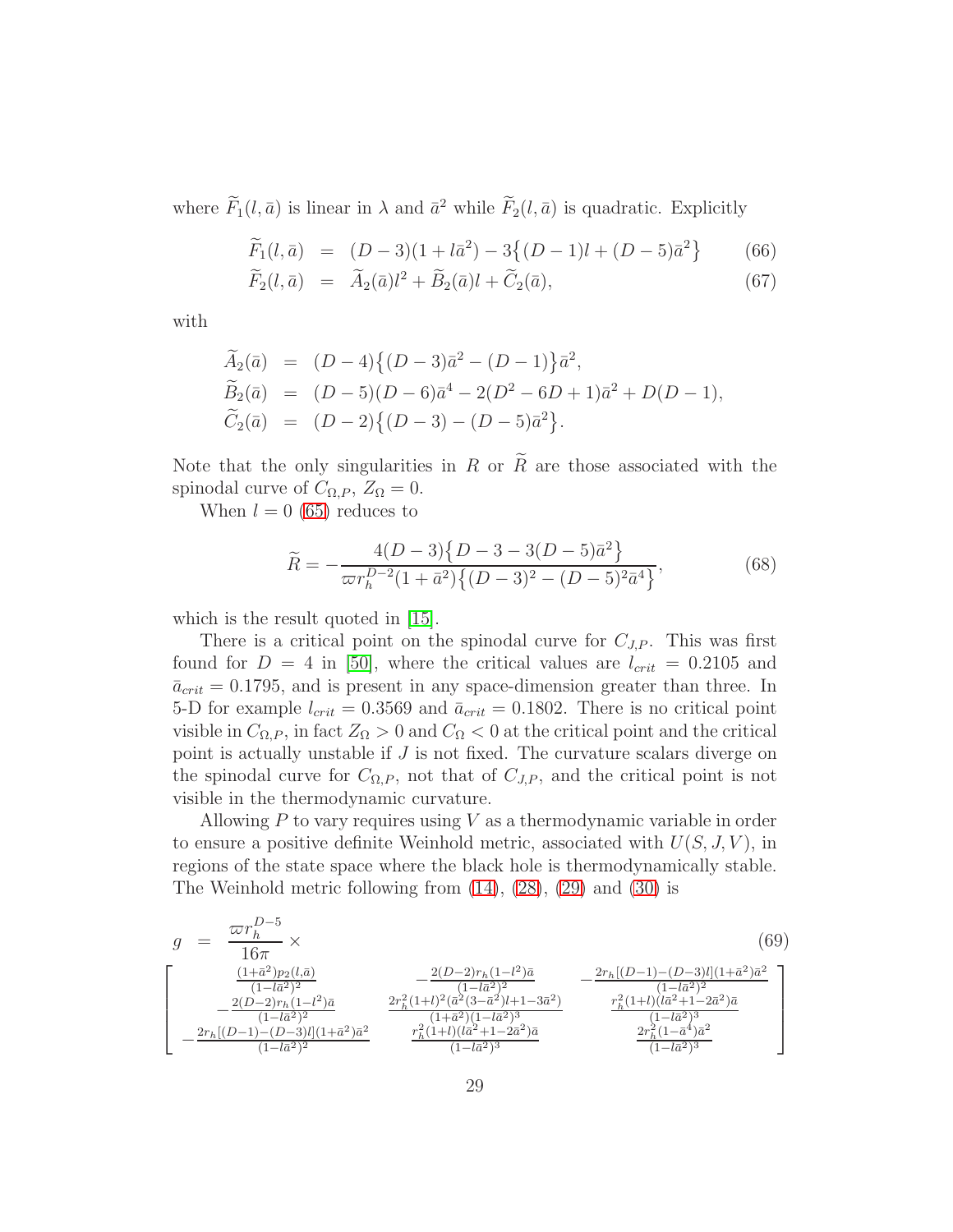where  $F_1(l, \bar{a})$  is linear in  $\lambda$  and  $\bar{a}^2$  while  $F_2(l, \bar{a})$  is quadratic. Explicitly

<span id="page-29-0"></span>
$$
\widetilde{F}_1(l,\bar{a}) = (D-3)(1+l\bar{a}^2) - 3\{(D-1)l + (D-5)\bar{a}^2\} \tag{66}
$$

$$
\tilde{F}_2(l, \bar{a}) = \tilde{A}_2(\bar{a})l^2 + \tilde{B}_2(\bar{a})l + \tilde{C}_2(\bar{a}), \qquad (67)
$$

with

$$
\widetilde{A}_2(\bar{a}) = (D-4)\{(D-3)\bar{a}^2 - (D-1)\}\bar{a}^2,
$$
  
\n
$$
\widetilde{B}_2(\bar{a}) = (D-5)(D-6)\bar{a}^4 - 2(D^2 - 6D + 1)\bar{a}^2 + D(D-1),
$$
  
\n
$$
\widetilde{C}_2(\bar{a}) = (D-2)\{(D-3) - (D-5)\bar{a}^2\}.
$$

Note that the only singularities in R or  $\widetilde{R}$  are those associated with the spinodal curve of  $C_{\Omega,P}$ ,  $Z_{\Omega} = 0$ .

When  $l = 0$  [\(65\)](#page-28-2) reduces to

$$
\widetilde{R} = -\frac{4(D-3)\{D-3-3(D-5)\bar{a}^2\}}{\varpi r_h^{D-2}(1+\bar{a}^2)\{(D-3)^2 - (D-5)^2\bar{a}^4\}},\tag{68}
$$

which is the result quoted in [\[15\]](#page-32-2).

There is a critical point on the spinodal curve for  $C_{J,P}$ . This was first found for  $D = 4$  in [\[50\]](#page-34-5), where the critical values are  $l_{crit} = 0.2105$  and  $\bar{a}_{crit} = 0.1795$ , and is present in any space-dimension greater than three. In 5-D for example  $l_{crit} = 0.3569$  and  $\bar{a}_{crit} = 0.1802$ . There is no critical point visible in  $C_{\Omega,P}$ , in fact  $Z_{\Omega} > 0$  and  $C_{\Omega} < 0$  at the critical point and the critical point is actually unstable if J is not fixed. The curvature scalars diverge on the spinodal curve for  $C_{\Omega,P}$ , not that of  $C_{J,P}$ , and the critical point is not visible in the thermodynamic curvature.

Allowing  $P$  to vary requires using  $V$  as a thermodynamic variable in order to ensure a positive definite Weinhold metric, associated with  $U(S, J, V)$ , in regions of the state space where the black hole is thermodynamically stable. The Weinhold metric following from [\(14\)](#page-9-1), [\(28\)](#page-15-1), [\(29\)](#page-15-2) and [\(30\)](#page-16-0) is

<span id="page-29-1"></span>
$$
g = \frac{\varpi r_h^{D-5}}{16\pi} \times (69)
$$
\n
$$
\left[\begin{array}{ccc} \frac{(1+\bar{a}^2)p_2(l,\bar{a})}{(1-l\bar{a}^2)^2} & \frac{2(D-2)r_h(1-l^2)\bar{a}}{(1-l\bar{a}^2)^2} & -\frac{2(D-2)r_h(1-l^2)\bar{a}}{(1-l\bar{a}^2)^2} \\ -\frac{2(D-2)r_h(1-l^2)\bar{a}}{(1-l\bar{a}^2)^2} & \frac{2r_h^2(1+l)^2(\bar{a}^2(3-\bar{a}^2)l+1-3\bar{a}^2)}{(1+\bar{a}^2)(1-l\bar{a}^2)^3} & \frac{r_h^2(1+l)(l\bar{a}^2+1-2\bar{a}^2)\bar{a}}{(1-l\bar{a}^2)^3} \\ -\frac{2r_h[(D-1)-(D-3)l](1+\bar{a}^2)\bar{a}^2}{(1-l\bar{a}^2)^2} & \frac{r_h^2(1+l)(l\bar{a}^2+1-2\bar{a}^2)\bar{a}}{(1-l\bar{a}^2)^3} & \frac{2r_h^2(1-\bar{a}^2)\bar{a}^2}{(1-l\bar{a}^2)^3} \end{array}\right]
$$
\n(69)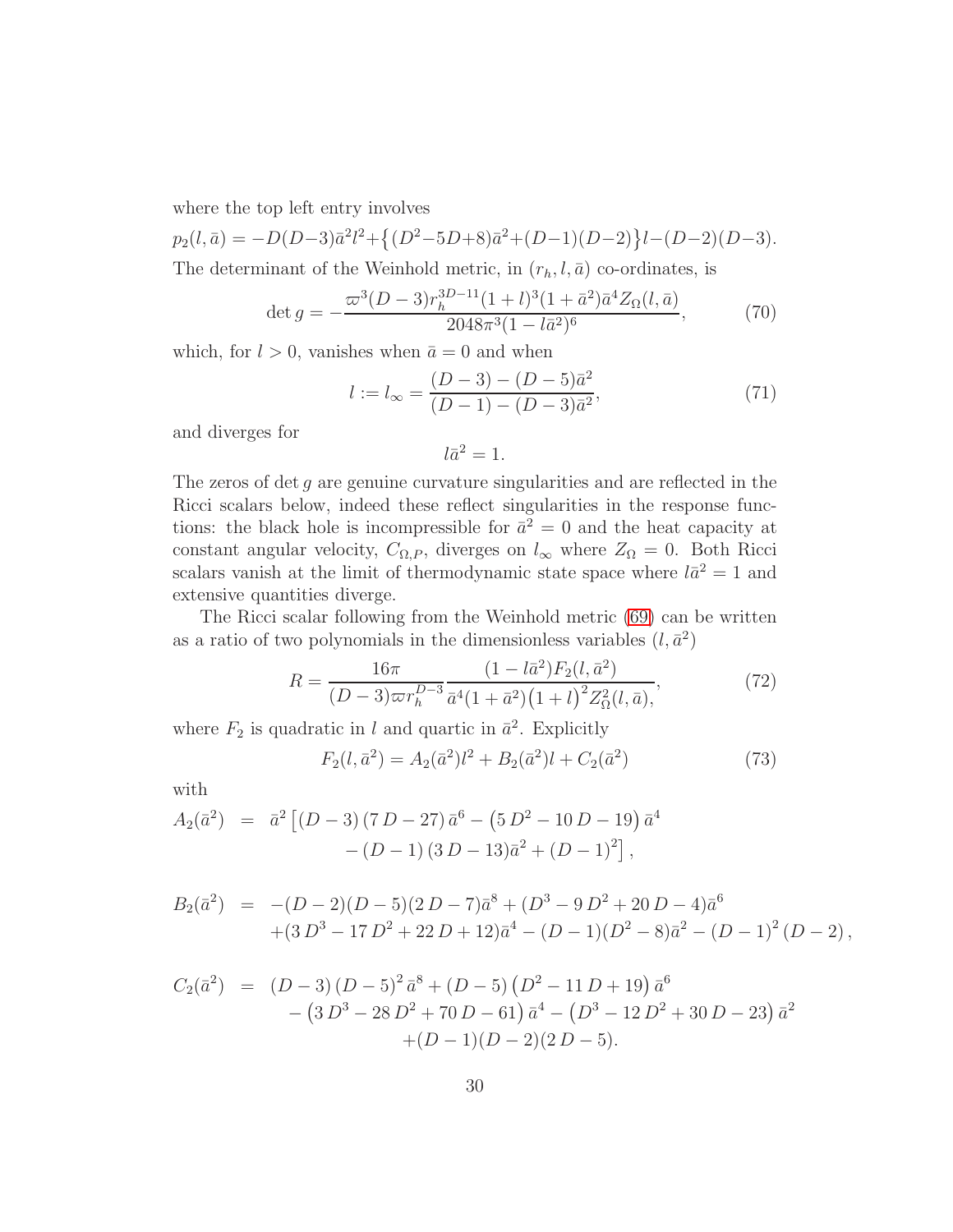where the top left entry involves

 $p_2(l, \bar{a}) = -D(D-3)\bar{a}^2 l^2 + \{(D^2 - 5D + 8)\bar{a}^2 + (D-1)(D-2)\}l - (D-2)(D-3).$ 

The determinant of the Weinhold metric, in  $(r_h, l, \bar{a})$  co-ordinates, is

$$
\det g = -\frac{\varpi^3 (D-3) r_h^{3D-11} (1+l)^3 (1+\bar{a}^2) \bar{a}^4 Z_{\Omega}(l, \bar{a})}{2048 \pi^3 (1-l \bar{a}^2)^6},\tag{70}
$$

which, for  $l > 0$ , vanishes when  $\bar{a} = 0$  and when

$$
l := l_{\infty} = \frac{(D-3) - (D-5)\bar{a}^2}{(D-1) - (D-3)\bar{a}^2},
$$
\n(71)

and diverges for

$$
l\bar{a}^2=1.
$$

The zeros of det g are genuine curvature singularities and are reflected in the Ricci scalars below, indeed these reflect singularities in the response functions: the black hole is incompressible for  $\bar{a}^2 = 0$  and the heat capacity at constant angular velocity,  $C_{\Omega,P}$ , diverges on  $l_{\infty}$  where  $Z_{\Omega} = 0$ . Both Ricci scalars vanish at the limit of thermodynamic state space where  $l\bar{a}^2 = 1$  and extensive quantities diverge.

The Ricci scalar following from the Weinhold metric [\(69\)](#page-29-1) can be written as a ratio of two polynomials in the dimensionless variables  $(l, \bar{a}^2)$ 

<span id="page-30-0"></span>
$$
R = \frac{16\pi}{(D-3)\varpi r_h^{D-3}} \frac{(1 - l\bar{a}^2)F_2(l, \bar{a}^2)}{\bar{a}^4(1 + \bar{a}^2)(1 + l)^2 Z_{\Omega}^2(l, \bar{a})},\tag{72}
$$

where  $F_2$  is quadratic in l and quartic in  $\bar{a}^2$ . Explicitly

$$
F_2(l, \bar{a}^2) = A_2(\bar{a}^2)l^2 + B_2(\bar{a}^2)l + C_2(\bar{a}^2)
$$
\n(73)

with

$$
A_2(\bar{a}^2) = \bar{a}^2 \left[ (D-3) (7 D - 27) \bar{a}^6 - (5 D^2 - 10 D - 19) \bar{a}^4 - (D-1) (3 D - 13) \bar{a}^2 + (D-1)^2 \right],
$$

$$
B_2(\bar{a}^2) = -(D-2)(D-5)(2D-7)\bar{a}^8 + (D^3 - 9D^2 + 20D - 4)\bar{a}^6
$$
  
+ 
$$
(3D^3 - 17D^2 + 22D + 12)\bar{a}^4 - (D-1)(D^2 - 8)\bar{a}^2 - (D-1)^2(D-2),
$$

$$
C_2(\bar{a}^2) = (D-3)(D-5)^2 \bar{a}^8 + (D-5)(D^2 - 11D + 19) \bar{a}^6 - (3D^3 - 28D^2 + 70D - 61) \bar{a}^4 - (D^3 - 12D^2 + 30D - 23) \bar{a}^2 + (D-1)(D-2)(2D-5).
$$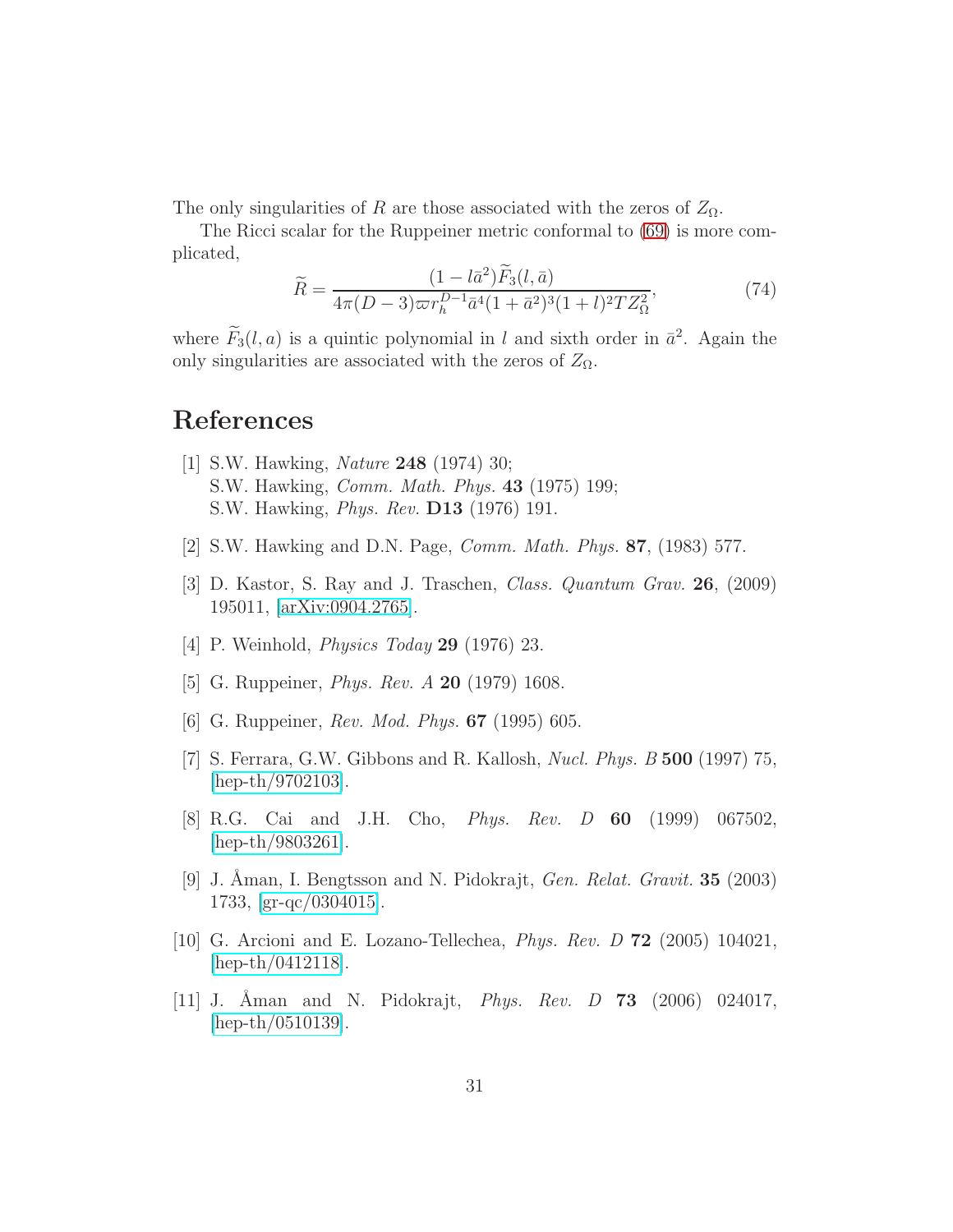The only singularities of R are those associated with the zeros of  $Z_{\Omega}$ .

The Ricci scalar for the Ruppeiner metric conformal to [\(69\)](#page-29-1) is more complicated,

<span id="page-31-9"></span>
$$
\widetilde{R} = \frac{(1 - l\bar{a}^2)\widetilde{F}_3(l, \bar{a})}{4\pi (D - 3)\varpi r_h^{D-1} \bar{a}^4 (1 + \bar{a}^2)^3 (1 + l)^2 T Z_\Omega^2},\tag{74}
$$

where  $F_3(l, a)$  is a quintic polynomial in l and sixth order in  $\bar{a}^2$ . Again the only singularities are associated with the zeros of  $Z_{\Omega}$ .

### <span id="page-31-0"></span>References

- [1] S.W. Hawking, Nature 248 (1974) 30; S.W. Hawking, Comm. Math. Phys. 43 (1975) 199; S.W. Hawking, Phys. Rev. D13 (1976) 191.
- <span id="page-31-2"></span><span id="page-31-1"></span>[2] S.W. Hawking and D.N. Page, Comm. Math. Phys. 87, (1983) 577.
- <span id="page-31-3"></span>[3] D. Kastor, S. Ray and J. Traschen, Class. Quantum Grav. 26, (2009) 195011, [\[arXiv:0904.2765\]](http://arxiv.org/abs/0904.2765).
- <span id="page-31-4"></span>[4] P. Weinhold, Physics Today 29 (1976) 23.
- <span id="page-31-5"></span>[5] G. Ruppeiner, Phys. Rev. A 20 (1979) 1608.
- <span id="page-31-6"></span>[6] G. Ruppeiner, *Rev. Mod. Phys.* **67** (1995) 605.
- [7] S. Ferrara, G.W. Gibbons and R. Kallosh, Nucl. Phys. B 500 (1997) 75, [\[hep-th/9702103\]](http://arxiv.org/abs/hep-th/9702103).
- <span id="page-31-7"></span>[8] R.G. Cai and J.H. Cho, Phys. Rev. D 60 (1999) 067502, [\[hep-th/9803261\]](http://arxiv.org/abs/hep-th/9803261).
- <span id="page-31-8"></span>[9] J. Aman, I. Bengtsson and N. Pidokrajt, *Gen. Relat. Gravit.* **35** (2003) 1733, [\[gr-qc/0304015\]](http://arxiv.org/abs/gr-qc/0304015).
- [10] G. Arcioni and E. Lozano-Tellechea, Phys. Rev. D 72 (2005) 104021, [\[hep-th/0412118\]](http://arxiv.org/abs/hep-th/0412118).
- [11] J. Aman and N. Pidokrajt, *Phys. Rev. D* 73 (2006) 024017, [\[hep-th/0510139\]](http://arxiv.org/abs/hep-th/0510139).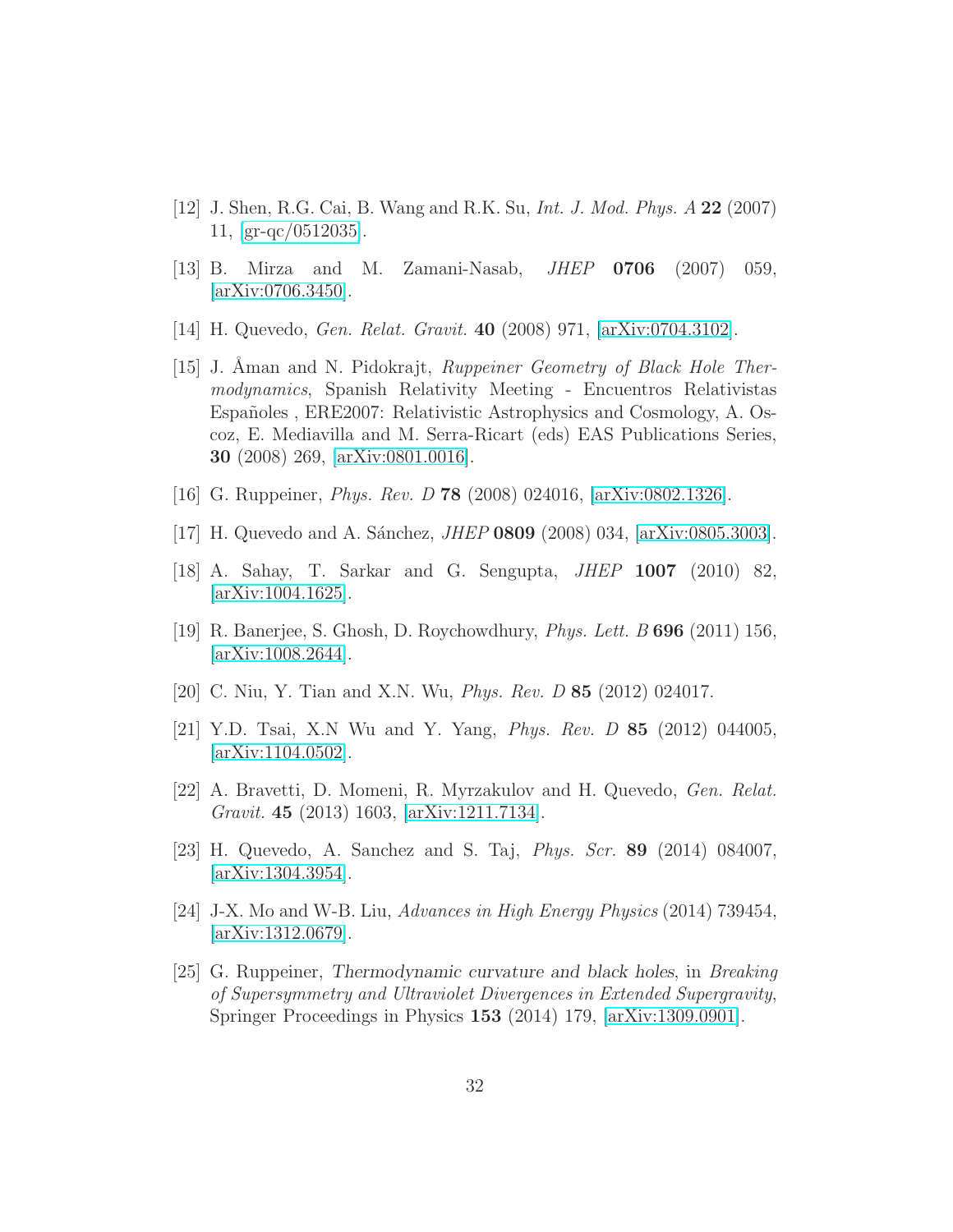- [12] J. Shen, R.G. Cai, B. Wang and R.K. Su, Int. J. Mod. Phys. A 22 (2007) 11, [\[gr-qc/0512035\]](http://arxiv.org/abs/gr-qc/0512035).
- [13] B. Mirza and M. Zamani-Nasab, JHEP 0706 (2007) 059, [\[arXiv:0706.3450\]](http://arxiv.org/abs/0706.3450).
- <span id="page-32-2"></span>[14] H. Quevedo, Gen. Relat. Gravit. 40 (2008) 971, [\[arXiv:0704.3102\]](http://arxiv.org/abs/0704.3102).
- [15] J. Aman and N. Pidokrajt, *Ruppeiner Geometry of Black Hole Ther*modynamics, Spanish Relativity Meeting - Encuentros Relativistas Españoles, ERE2007: Relativistic Astrophysics and Cosmology, A. Oscoz, E. Mediavilla and M. Serra-Ricart (eds) EAS Publications Series, 30 (2008) 269, [\[arXiv:0801.0016\]](http://arxiv.org/abs/0801.0016).
- [16] G. Ruppeiner, *Phys. Rev. D* **78** (2008) 024016, [\[arXiv:0802.1326\]](http://arxiv.org/abs/0802.1326).
- <span id="page-32-3"></span>[17] H. Quevedo and A. Sánchez, *JHEP* 0809 (2008) 034,  $arXiv:0805.3003$ .
- <span id="page-32-4"></span>[18] A. Sahay, T. Sarkar and G. Sengupta, JHEP 1007 (2010) 82, [\[arXiv:1004.1625\]](http://arxiv.org/abs/1004.1625).
- [19] R. Banerjee, S. Ghosh, D. Roychowdhury, Phys. Lett. B 696 (2011) 156, [\[arXiv:1008.2644\]](http://arxiv.org/abs/1008.2644).
- <span id="page-32-5"></span>[20] C. Niu, Y. Tian and X.N. Wu, Phys. Rev. D 85 (2012) 024017.
- [21] Y.D. Tsai, X.N Wu and Y. Yang, Phys. Rev. D 85 (2012) 044005, [\[arXiv:1104.0502\]](http://arxiv.org/abs/1104.0502).
- [22] A. Bravetti, D. Momeni, R. Myrzakulov and H. Quevedo, Gen. Relat. Gravit. 45 (2013) 1603, [\[arXiv:1211.7134\]](http://arxiv.org/abs/1211.7134).
- [23] H. Quevedo, A. Sanchez and S. Taj, Phys. Scr. 89 (2014) 084007, [\[arXiv:1304.3954\]](http://arxiv.org/abs/1304.3954).
- <span id="page-32-0"></span>[24] J-X. Mo and W-B. Liu, Advances in High Energy Physics (2014) 739454, [\[arXiv:1312.0679\]](http://arxiv.org/abs/1312.0679).
- <span id="page-32-1"></span>[25] G. Ruppeiner, Thermodynamic curvature and black holes, in Breaking of Supersymmetry and Ultraviolet Divergences in Extended Supergravity, Springer Proceedings in Physics 153 (2014) 179, [\[arXiv:1309.0901\]](http://arxiv.org/abs/1309.0901).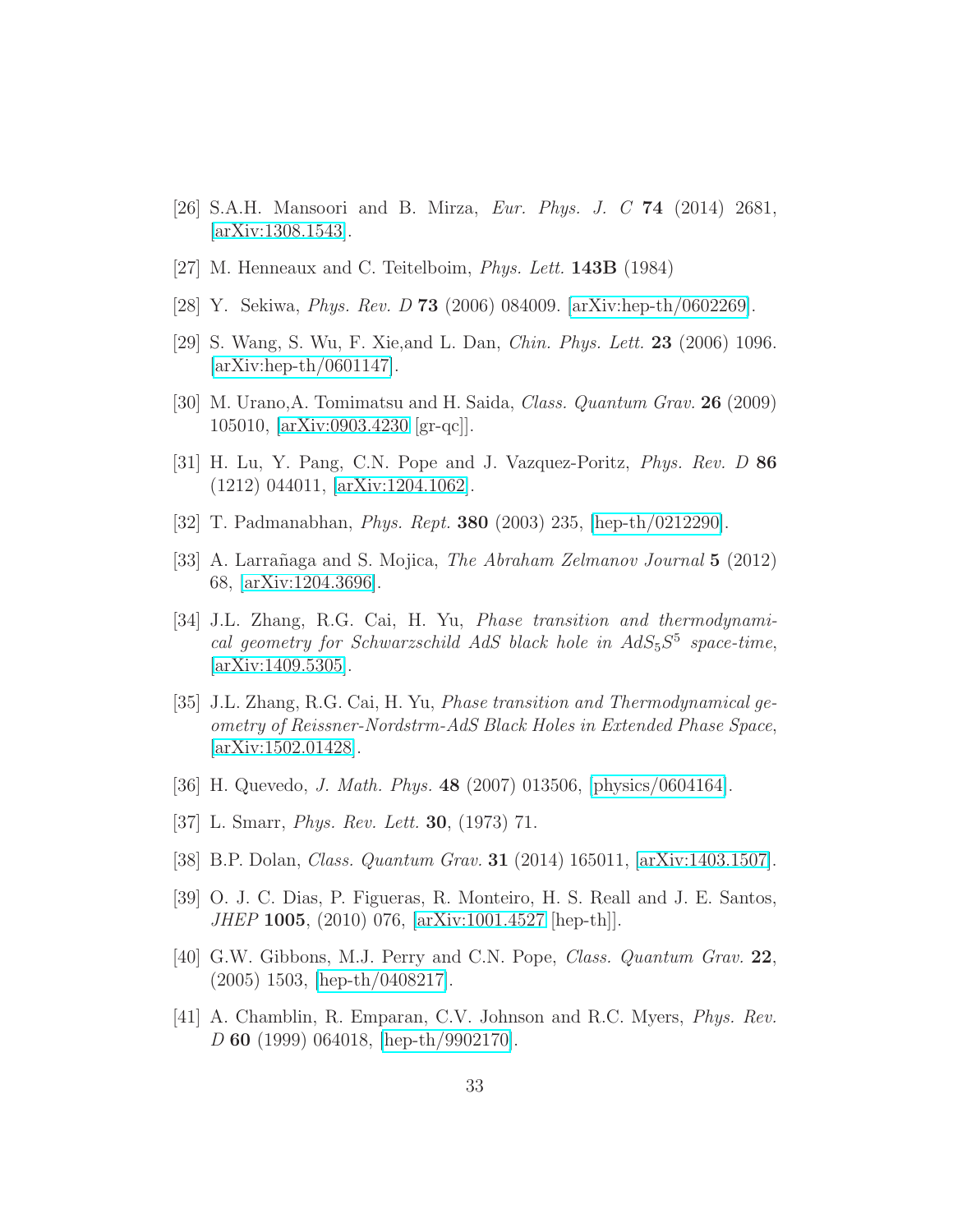- <span id="page-33-3"></span><span id="page-33-0"></span>[26] S.A.H. Mansoori and B. Mirza, Eur. Phys. J. C 74 (2014) 2681, [\[arXiv:1308.1543\]](http://arxiv.org/abs/1308.1543).
- <span id="page-33-4"></span>[27] M. Henneaux and C. Teitelboim, *Phys. Lett.* **143B** (1984)
- [28] Y. Sekiwa, Phys. Rev. D 73 (2006) 084009. [\[arXiv:hep-th/0602269\]](http://arxiv.org/abs/hep-th/0602269).
- [29] S. Wang, S. Wu, F. Xie,and L. Dan, Chin. Phys. Lett. 23 (2006) 1096. [\[arXiv:hep-th/0601147\]](http://arxiv.org/abs/hep-th/0601147).
- [30] M. Urano,A. Tomimatsu and H. Saida, Class. Quantum Grav. 26 (2009) 105010, [\[arXiv:0903.4230](http://arxiv.org/abs/0903.4230) [gr-qc]].
- [31] H. Lu, Y. Pang, C.N. Pope and J. Vazquez-Poritz, Phys. Rev. D 86 (1212) 044011, [\[arXiv:1204.1062\]](http://arxiv.org/abs/1204.1062).
- <span id="page-33-5"></span><span id="page-33-1"></span>[32] T. Padmanabhan, Phys. Rept. 380 (2003) 235, [\[hep-th/0212290\]](http://arxiv.org/abs/hep-th/0212290).
- [33] A. Larrañaga and S. Mojica, *The Abraham Zelmanov Journal* 5 (2012) 68, [\[arXiv:1204.3696\]](http://arxiv.org/abs/1204.3696).
- [34] J.L. Zhang, R.G. Cai, H. Yu, Phase transition and thermodynamical geometry for Schwarzschild AdS black hole in  $AdS_5S^5$  space-time, [\[arXiv:1409.5305\]](http://arxiv.org/abs/1409.5305).
- <span id="page-33-2"></span>[35] J.L. Zhang, R.G. Cai, H. Yu, Phase transition and Thermodynamical geometry of Reissner-Nordstrm-AdS Black Holes in Extended Phase Space, [\[arXiv:1502.01428\]](http://arxiv.org/abs/1502.01428).
- <span id="page-33-7"></span><span id="page-33-6"></span>[36] H. Quevedo, J. Math. Phys. 48 (2007) 013506, [\[physics/0604164\]](http://arxiv.org/abs/physics/0604164).
- <span id="page-33-8"></span>[37] L. Smarr, *Phys. Rev. Lett.* **30**, (1973) 71.
- <span id="page-33-9"></span>[38] B.P. Dolan, Class. Quantum Grav. 31 (2014) 165011, [\[arXiv:1403.1507\]](http://arxiv.org/abs/1403.1507).
- <span id="page-33-10"></span>[39] O. J. C. Dias, P. Figueras, R. Monteiro, H. S. Reall and J. E. Santos, JHEP 1005, (2010) 076, [\[arXiv:1001.4527](http://arxiv.org/abs/1001.4527) [hep-th]].
- [40] G.W. Gibbons, M.J. Perry and C.N. Pope, Class. Quantum Grav. 22, (2005) 1503, [\[hep-th/0408217\]](http://arxiv.org/abs/hep-th/0408217).
- <span id="page-33-11"></span>[41] A. Chamblin, R. Emparan, C.V. Johnson and R.C. Myers, Phys. Rev. D 60 (1999) 064018, [\[hep-th/9902170\]](http://arxiv.org/abs/hep-th/9902170).